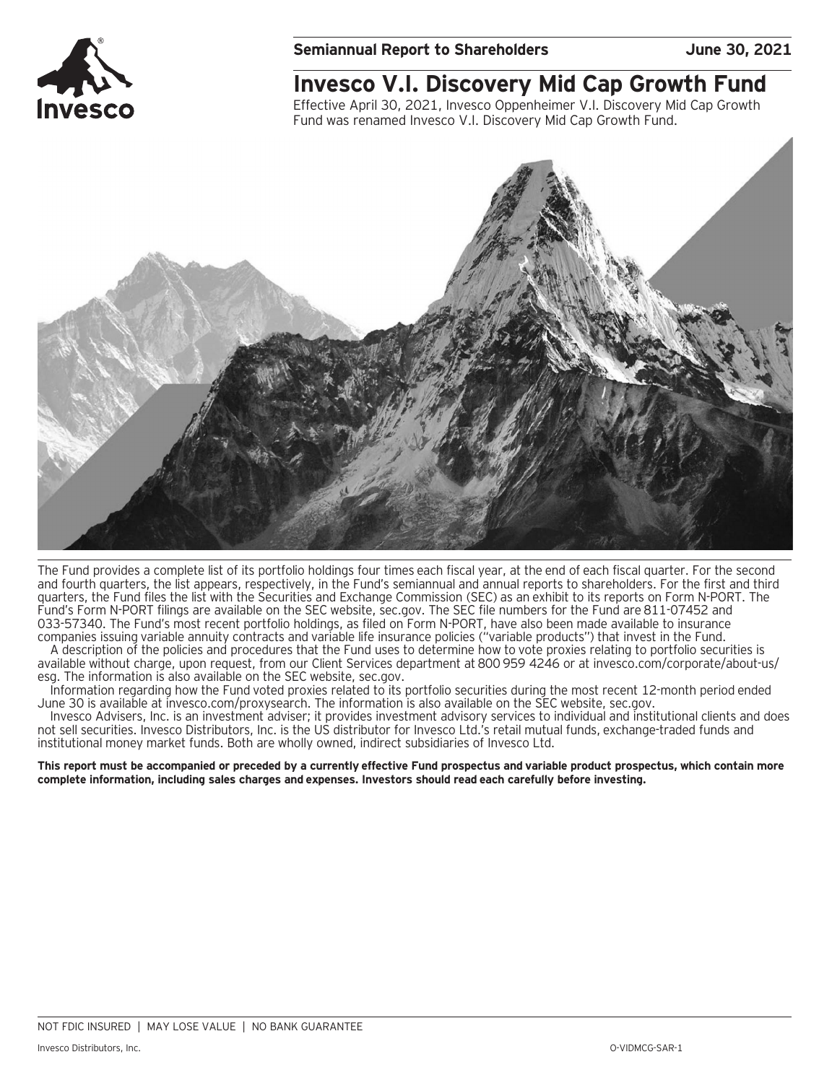

## **Invesco V.I. Discovery Mid Cap Growth Fund**

Effective April 30, 2021, Invesco Oppenheimer V.I. Discovery Mid Cap Growth Fund was renamed Invesco V.I. Discovery Mid Cap Growth Fund.



The Fund provides a complete list of its portfolio holdings four times each fiscal year, at the end of each fiscal quarter. For the second and fourth quarters, the list appears, respectively, in the Fund's semiannual and annual reports to shareholders. For the first and third quarters, the Fund files the list with the Securities and Exchange Commission (SEC) as an exhibit to its reports on Form N-PORT. The Fund's Form N-PORT filings are available on the SEC website, sec.gov. The SEC file numbers for the Fund are 811-07452 and 033-57340. The Fund's most recent portfolio holdings, as filed on Form N-PORT, have also been made available to insurance companies issuing variable annuity contracts and variable life insurance policies ("variable products") that invest in the Fund.

A description of the policies and procedures that the Fund uses to determine how to vote proxies relating to portfolio securities is available without charge, upon request, from our Client Services department at 800 959 4246 or at invesco.com/corporate/about-us/ esg. The information is also available on the SEC website, sec.gov.

Information regarding how the Fund voted proxies related to its portfolio securities during the most recent 12-month period ended June 30 is available at invesco.com/proxysearch. The information is also available on the SEC website, sec.gov.

Invesco Advisers, Inc. is an investment adviser; it provides investment advisory services to individual and institutional clients and does not sell securities. Invesco Distributors, Inc. is the US distributor for Invesco Ltd.'s retail mutual funds, exchange-traded funds and institutional money market funds. Both are wholly owned, indirect subsidiaries of Invesco Ltd.

**This report must be accompanied or preceded by a currently effective Fund prospectus and variable product prospectus, which contain more complete information, including sales charges and expenses. Investors should read each carefully before investing.**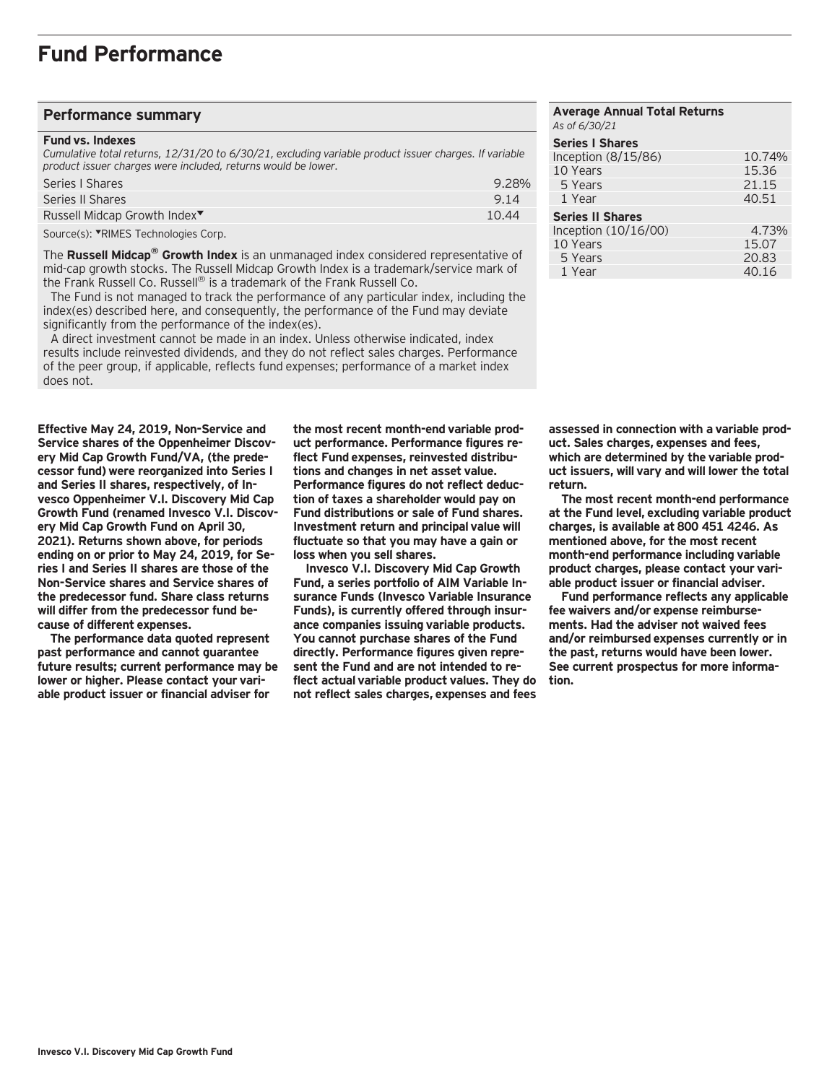#### **Performance summary**

#### **Fund vs. Indexes**

*Cumulative total returns, 12/31/20 to 6/30/21, excluding variable product issuer charges. If variable product issuer charges were included, returns would be lower.*

| Series   Shares                          | 9.28% |
|------------------------------------------|-------|
| Series II Shares                         | 9.14  |
| Russell Midcap Growth Index <sup>▼</sup> | 10.44 |
| $\sim$                                   |       |

Source(s): VRIMES Technologies Corp.

The **Russell Midcap® Growth Index** is an unmanaged index considered representative of mid-cap growth stocks. The Russell Midcap Growth Index is a trademark/service mark of the Frank Russell Co. Russell® is a trademark of the Frank Russell Co.

 The Fund is not managed to track the performance of any particular index, including the index(es) described here, and consequently, the performance of the Fund may deviate significantly from the performance of the index(es).

 A direct investment cannot be made in an index. Unless otherwise indicated, index results include reinvested dividends, and they do not reflect sales charges. Performance of the peer group, if applicable, reflects fund expenses; performance of a market index does not.

**Effective May 24, 2019, Non-Service and Service shares of the Oppenheimer Discovery Mid Cap Growth Fund/VA, (the predecessor fund) were reorganized into Series I and Series II shares, respectively, of Invesco Oppenheimer V.I. Discovery Mid Cap Growth Fund (renamed Invesco V.I. Discovery Mid Cap Growth Fund on April 30, 2021). Returns shown above, for periods ending on or prior to May 24, 2019, for Series I and Series II shares are those of the Non-Service shares and Service shares of the predecessor fund. Share class returns will differ from the predecessor fund because of different expenses.**

**The performance data quoted represent past performance and cannot guarantee future results; current performance may be lower or higher. Please contact your variable product issuer or financial adviser for**

**the most recent month-end variable product performance. Performance figures reflect Fund expenses, reinvested distributions and changes in net asset value. Performance figures do not reflect deduction of taxes a shareholder would pay on Fund distributions or sale of Fund shares. Investment return and principal value will fluctuate so that you may have a gain or loss when you sell shares.**

**Invesco V.I. Discovery Mid Cap Growth Fund, a series portfolio of AIM Variable Insurance Funds (Invesco Variable Insurance Funds), is currently offered through insurance companies issuing variable products. You cannot purchase shares of the Fund directly. Performance figures given represent the Fund and are not intended to reflect actual variable product values. They do not reflect sales charges, expenses and fees**

#### **Average Annual Total Returns** *As of 6/30/21* **Series I Shares**  Inception (8/15/86) 10.74%<br>10 Years 15.36 10 Years 5 Years 21.15 1 Year 40.51 **Series II Shares**  Inception (10/16/00) 4.73%<br>10 Years 15.07 10 Years 15.07 5 Years 20.83 1 Year

**assessed in connection with a variable product. Sales charges, expenses and fees, which are determined by the variable product issuers, will vary and will lower the total return.**

**The most recent month-end performance at the Fund level, excluding variable product charges, is available at 800 451 4246. As mentioned above, for the most recent month-end performance including variable product charges, please contact your variable product issuer or financial adviser.**

**Fund performance reflects any applicable fee waivers and/or expense reimbursements. Had the adviser not waived fees and/or reimbursed expenses currently or in the past, returns would have been lower. See current prospectus for more information.**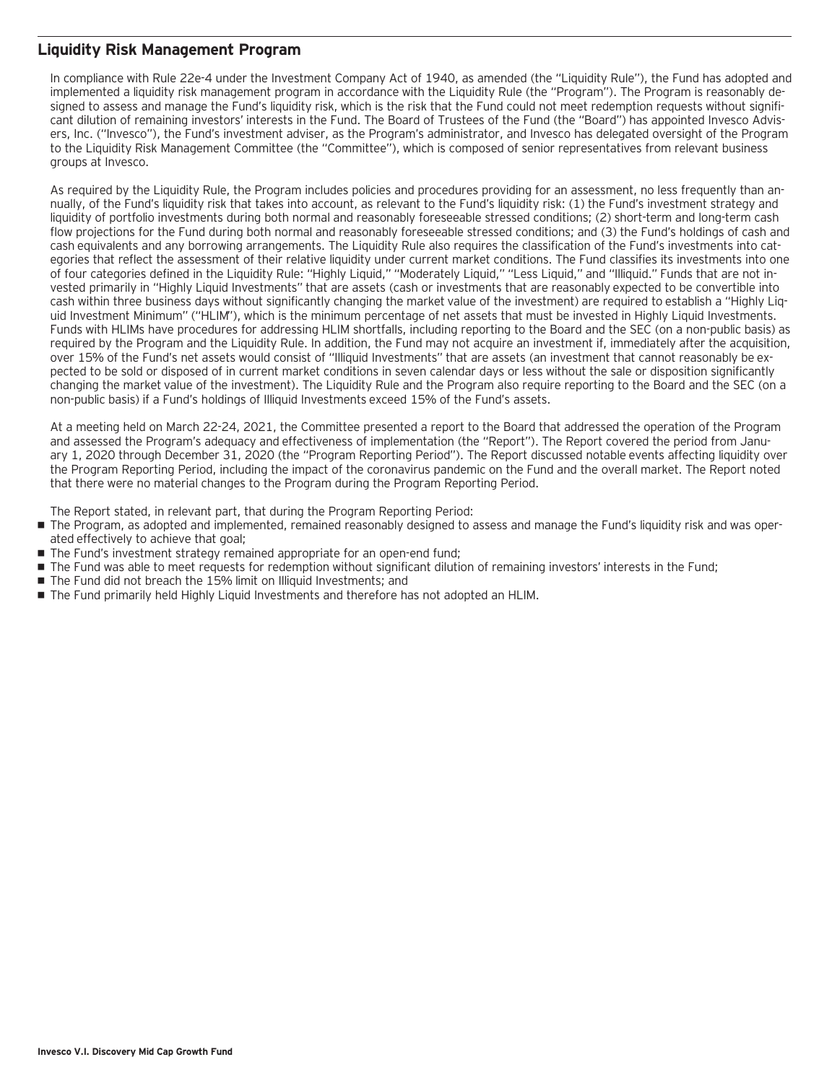### **Liquidity Risk Management Program**

In compliance with Rule 22e-4 under the Investment Company Act of 1940, as amended (the "Liquidity Rule"), the Fund has adopted and implemented a liquidity risk management program in accordance with the Liquidity Rule (the "Program"). The Program is reasonably designed to assess and manage the Fund's liquidity risk, which is the risk that the Fund could not meet redemption requests without significant dilution of remaining investors' interests in the Fund. The Board of Trustees of the Fund (the "Board") has appointed Invesco Advisers, Inc. ("Invesco"), the Fund's investment adviser, as the Program's administrator, and Invesco has delegated oversight of the Program to the Liquidity Risk Management Committee (the "Committee"), which is composed of senior representatives from relevant business groups at Invesco.

As required by the Liquidity Rule, the Program includes policies and procedures providing for an assessment, no less frequently than annually, of the Fund's liquidity risk that takes into account, as relevant to the Fund's liquidity risk: (1) the Fund's investment strategy and liquidity of portfolio investments during both normal and reasonably foreseeable stressed conditions; (2) short-term and long-term cash flow projections for the Fund during both normal and reasonably foreseeable stressed conditions; and (3) the Fund's holdings of cash and cash equivalents and any borrowing arrangements. The Liquidity Rule also requires the classification of the Fund's investments into categories that reflect the assessment of their relative liquidity under current market conditions. The Fund classifies its investments into one of four categories defined in the Liquidity Rule: "Highly Liquid," "Moderately Liquid," "Less Liquid," and "Illiquid." Funds that are not invested primarily in "Highly Liquid Investments" that are assets (cash or investments that are reasonably expected to be convertible into cash within three business days without significantly changing the market value of the investment) are required to establish a "Highly Liquid Investment Minimum" ("HLIM"), which is the minimum percentage of net assets that must be invested in Highly Liquid Investments. Funds with HLIMs have procedures for addressing HLIM shortfalls, including reporting to the Board and the SEC (on a non-public basis) as required by the Program and the Liquidity Rule. In addition, the Fund may not acquire an investment if, immediately after the acquisition, over 15% of the Fund's net assets would consist of "Illiquid Investments" that are assets (an investment that cannot reasonably be expected to be sold or disposed of in current market conditions in seven calendar days or less without the sale or disposition significantly changing the market value of the investment). The Liquidity Rule and the Program also require reporting to the Board and the SEC (on a non-public basis) if a Fund's holdings of Illiquid Investments exceed 15% of the Fund's assets.

At a meeting held on March 22-24, 2021, the Committee presented a report to the Board that addressed the operation of the Program and assessed the Program's adequacy and effectiveness of implementation (the "Report"). The Report covered the period from January 1, 2020 through December 31, 2020 (the "Program Reporting Period"). The Report discussed notable events affecting liquidity over the Program Reporting Period, including the impact of the coronavirus pandemic on the Fund and the overall market. The Report noted that there were no material changes to the Program during the Program Reporting Period.

The Report stated, in relevant part, that during the Program Reporting Period:

- The Program, as adopted and implemented, remained reasonably designed to assess and manage the Fund's liquidity risk and was operated effectively to achieve that goal;
- The Fund's investment strategy remained appropriate for an open-end fund;
- The Fund was able to meet requests for redemption without significant dilution of remaining investors' interests in the Fund;
- The Fund did not breach the 15% limit on Illiquid Investments; and
- The Fund primarily held Highly Liquid Investments and therefore has not adopted an HLIM.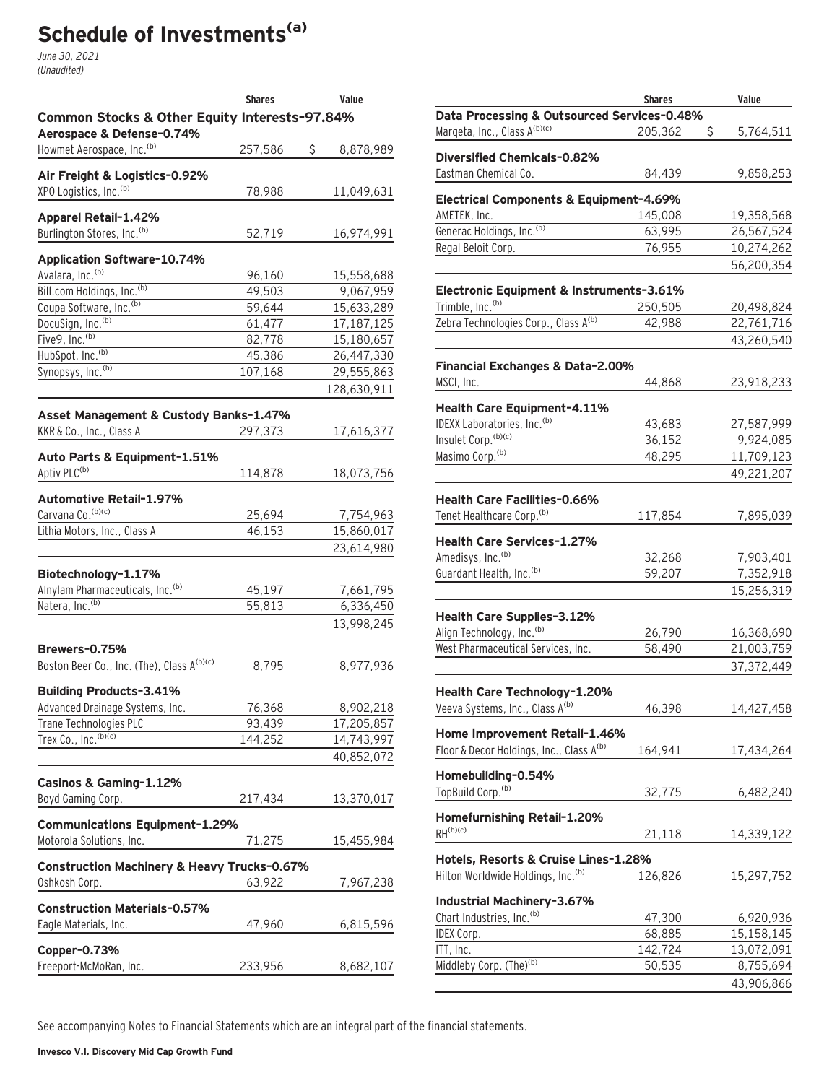# **Schedule of Investments(a)**

June 30, 2021 (Unaudited)

|                                                                            | <b>Shares</b> | Value           |
|----------------------------------------------------------------------------|---------------|-----------------|
| Common Stocks & Other Equity Interests-97.84%<br>Aerospace & Defense-0.74% |               |                 |
| Howmet Aerospace, Inc. <sup>(b)</sup>                                      | 257,586       | \$<br>8,878,989 |
| Air Freight & Logistics-0.92%                                              |               |                 |
| XPO Logistics, Inc. <sup>(b)</sup>                                         | 78,988        | 11,049,631      |
| <b>Apparel Retail-1.42%</b>                                                |               |                 |
| Burlington Stores, Inc. (b)                                                | 52,719        | 16,974,991      |
| <b>Application Software-10.74%</b>                                         |               |                 |
| Avalara, Inc. <sup>(b)</sup>                                               | 96,160        | 15,558,688      |
| Bill.com Holdings, Inc. <sup>(b)</sup>                                     | 49,503        | 9,067,959       |
| Coupa Software, Inc. <sup>(b)</sup>                                        | 59,644        | 15,633,289      |
| DocuSign, Inc. <sup>(b)</sup>                                              | 61,477        | 17,187,125      |
| Five9, Inc. <sup>(b)</sup>                                                 | 82,778        | 15,180,657      |
| HubSpot, Inc. <sup>(b)</sup>                                               | 45,386        | 26,447,330      |
| Synopsys, Inc. <sup>(b)</sup>                                              | 107,168       | 29,555,863      |
|                                                                            |               | 128,630,911     |
| Asset Management & Custody Banks-1.47%                                     |               |                 |
| KKR & Co., Inc., Class A                                                   | 297,373       | 17,616,377      |
| Auto Parts & Equipment-1.51%                                               |               |                 |
| Aptiv PLC <sup>(b)</sup>                                                   | 114,878       | 18,073,756      |
| Automotive Retail-1.97%                                                    |               |                 |
| Carvana Co. (b)(c)                                                         | 25,694        | 7,754,963       |
| Lithia Motors, Inc., Class A                                               | 46,153        | 15,860,017      |
|                                                                            |               | 23,614,980      |
| Biotechnology-1.17%                                                        |               |                 |
| Alnylam Pharmaceuticals, Inc. <sup>(b)</sup>                               | 45,197        | 7,661,795       |
| Natera, Inc. <sup>(b)</sup>                                                | 55,813        | 6,336,450       |
|                                                                            |               | 13,998,245      |
| Brewers-0.75%                                                              |               |                 |
| Boston Beer Co., Inc. (The), Class A(b)(c)                                 | 8,795         | 8,977,936       |
|                                                                            |               |                 |
| <b>Building Products-3.41%</b><br>Advanced Drainage Systems, Inc.          | 76,368        | 8,902,218       |
| Trane Technologies PLC                                                     | 93,439        | 17,205,857      |
| Trex Co., Inc. (b)(c)                                                      | 144,252       | 14,743,997      |
|                                                                            |               | 40,852,072      |
|                                                                            |               |                 |
| Casinos & Gaming-1.12%<br>Boyd Gaming Corp.                                |               |                 |
|                                                                            | 217,434       | 13,370,017      |
| <b>Communications Equipment-1.29%</b>                                      |               |                 |
| Motorola Solutions, Inc.                                                   | 71,275        | 15,455,984      |
| <b>Construction Machinery &amp; Heavy Trucks-0.67%</b>                     |               |                 |
| Oshkosh Corp.                                                              | 63,922        | 7,967,238       |
| <b>Construction Materials-0.57%</b>                                        |               |                 |
| Eagle Materials, Inc.                                                      | 47,960        | 6,815,596       |
| Copper-0.73%                                                               |               |                 |
| Freeport-McMoRan, Inc.                                                     | 233,956       | 8,682,107       |
|                                                                            |               |                 |

|                                                                                       | <b>Shares</b> | Value           |
|---------------------------------------------------------------------------------------|---------------|-----------------|
| Data Processing & Outsourced Services-0.48%                                           |               |                 |
| Marqeta, Inc., Class A(b)(c)                                                          | 205,362       | \$<br>5,764,511 |
|                                                                                       |               |                 |
| Diversified Chemicals-0.82%                                                           |               |                 |
| Eastman Chemical Co.                                                                  | 84,439        | 9,858,253       |
| Electrical Components & Equipment-4.69%                                               |               |                 |
| AMETEK, Inc.                                                                          | 145,008       | 19,358,568      |
| Generac Holdings, Inc. (b)                                                            | 63,995        | 26,567,524      |
| Regal Beloit Corp.                                                                    | 76,955        | 10,274,262      |
|                                                                                       |               | 56,200,354      |
|                                                                                       |               |                 |
| Electronic Equipment & Instruments-3.61%<br>Trimble, Inc. <sup>(b)</sup>              | 250,505       | 20,498,824      |
| Zebra Technologies Corp., Class A <sup>(b)</sup>                                      | 42,988        | 22,761,716      |
|                                                                                       |               | 43,260,540      |
|                                                                                       |               |                 |
| <b>Financial Exchanges &amp; Data-2.00%</b>                                           |               |                 |
| MSCI, Inc.                                                                            | 44,868        | 23,918,233      |
| Health Care Equipment-4.11%                                                           |               |                 |
| IDEXX Laboratories, Inc. (b)                                                          | 43,683        | 27,587,999      |
| Insulet Corp. (b)(c)                                                                  | 36,152        | 9,924,085       |
| Masimo Corp. <sup>(b)</sup>                                                           | 48,295        | 11,709,123      |
|                                                                                       |               | 49,221,207      |
|                                                                                       |               |                 |
| <b>Health Care Facilities-0.66%</b>                                                   |               |                 |
| Tenet Healthcare Corp. <sup>(b)</sup>                                                 | 117,854       | 7,895,039       |
| <b>Health Care Services-1.27%</b>                                                     |               |                 |
| Amedisys, Inc. <sup>(b)</sup>                                                         | 32,268        | 7,903,401       |
| Guardant Health, Inc. <sup>(b)</sup>                                                  | 59,207        | 7,352,918       |
|                                                                                       |               | 15,256,319      |
|                                                                                       |               |                 |
| Health Care Supplies-3.12%                                                            |               |                 |
| Align Technology, Inc. <sup>(b)</sup>                                                 | 26,790        | 16,368,690      |
| West Pharmaceutical Services, Inc.                                                    | 58,490        | 21,003,759      |
|                                                                                       |               | 37, 372, 449    |
| Health Care Technology-1.20%                                                          |               |                 |
| Veeva Systems, Inc., Class A(b)                                                       | 46,398        | 14,427,458      |
|                                                                                       |               |                 |
| Home Improvement Retail-1.46%<br>Floor & Decor Holdings, Inc., Class A <sup>(b)</sup> |               |                 |
|                                                                                       | 164,941       | 17,434,264      |
| Homebuilding-0.54%                                                                    |               |                 |
| TopBuild Corp. <sup>(b)</sup>                                                         | 32,775        | 6,482,240       |
| Homefurnishing Retail-1.20%                                                           |               |                 |
| $RH^{(b)(c)}$                                                                         | 21,118        | 14,339,122      |
|                                                                                       |               |                 |
| Hotels, Resorts & Cruise Lines-1.28%                                                  |               |                 |
| Hilton Worldwide Holdings, Inc. <sup>(b)</sup>                                        | 126,826       | 15,297,752      |
| Industrial Machinery-3.67%                                                            |               |                 |
| Chart Industries, Inc. <sup>(b)</sup>                                                 | 47,300        | 6,920,936       |
| IDEX Corp.                                                                            | 68,885        | 15,158,145      |
| ITT, Inc.                                                                             | 142,724       | 13,072,091      |
| Middleby Corp. (The) <sup>(b)</sup>                                                   | 50,535        | 8,755,694       |
|                                                                                       |               | 43,906,866      |
|                                                                                       |               |                 |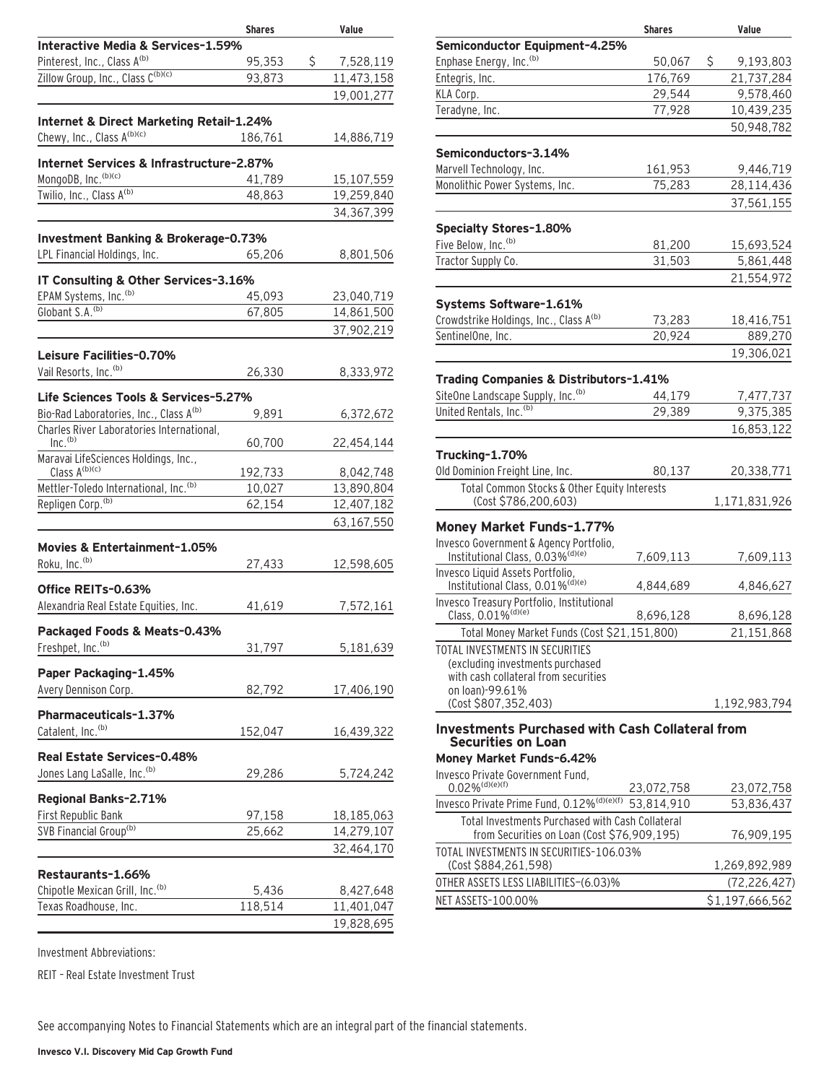|                                                                       | <b>Shares</b> | Value           |
|-----------------------------------------------------------------------|---------------|-----------------|
| Interactive Media & Services-1.59%                                    |               |                 |
| Pinterest, Inc., Class A(b)                                           | 95,353        | \$<br>7,528,119 |
| Zillow Group, Inc., Class C(b)(c)                                     | 93,873        | 11,473,158      |
|                                                                       |               | 19,001,277      |
| Internet & Direct Marketing Retail-1.24%                              |               |                 |
| Chewy, Inc., Class A(b)(c)                                            | 186,761       | 14,886,719      |
|                                                                       |               |                 |
| Internet Services & Infrastructure-2.87%                              |               |                 |
| MongoDB, Inc. (b)(c)                                                  | 41,789        | 15,107,559      |
| Twilio, Inc., Class A(b)                                              | 48,863        | 19,259,840      |
|                                                                       |               | 34,367,399      |
| Investment Banking & Brokerage-0.73%                                  |               |                 |
| LPL Financial Holdings, Inc.                                          | 65,206        | 8,801,506       |
|                                                                       |               |                 |
| IT Consulting & Other Services-3.16%                                  |               |                 |
| EPAM Systems, Inc. <sup>(b)</sup>                                     | 45,093        | 23,040,719      |
| Globant S.A. <sup>(b)</sup>                                           | 67,805        | 14,861,500      |
|                                                                       |               | 37,902,219      |
| Leisure Facilities-0.70%                                              |               |                 |
| Vail Resorts, Inc. <sup>(b)</sup>                                     | 26,330        | 8,333,972       |
|                                                                       |               |                 |
| Life Sciences Tools & Services-5.27%                                  |               |                 |
| Bio-Rad Laboratories, Inc., Class A <sup>(b)</sup>                    | 9,891         | 6,372,672       |
| Charles River Laboratories International,<br>Inc. <sup>(b)</sup>      | 60,700        | 22,454,144      |
| Maravai LifeSciences Holdings, Inc.,                                  |               |                 |
| Class $A^{(b)(c)}$                                                    | 192,733       | 8,042,748       |
| Mettler-Toledo International, Inc.(b)                                 | 10,027        | 13,890,804      |
| Repligen Corp. <sup>(b)</sup>                                         | 62,154        | 12,407,182      |
|                                                                       |               | 63,167,550      |
|                                                                       |               |                 |
| Movies & Entertainment-1.05%<br>Roku, Inc. <sup>(b)</sup>             |               |                 |
|                                                                       | 27,433        | 12,598,605      |
| Office REITs-0.63%                                                    |               |                 |
| Alexandria Real Estate Equities, Inc.                                 | 41,619        | 7,572,161       |
| Packaged Foods & Meats-0.43%                                          |               |                 |
| Freshpet, Inc. <sup>(b)</sup>                                         | 31,797        | 5,181,639       |
|                                                                       |               |                 |
| Paper Packaging-1.45%                                                 |               |                 |
| Avery Dennison Corp.                                                  | 82,792        | 17,406,190      |
| Pharmaceuticals-1.37%                                                 |               |                 |
| Catalent, Inc. <sup>(b)</sup>                                         | 152,047       | 16,439,322      |
|                                                                       |               |                 |
| Real Estate Services-0.48%<br>Jones Lang LaSalle, Inc. <sup>(b)</sup> |               |                 |
|                                                                       | 29,286        | 5,724,242       |
| Regional Banks-2.71%                                                  |               |                 |
| First Republic Bank                                                   | 97,158        | 18,185,063      |
| SVB Financial Group <sup>(b)</sup>                                    | 25,662        | 14,279,107      |
|                                                                       |               | 32,464,170      |
| Restaurants-1.66%                                                     |               |                 |
| Chipotle Mexican Grill, Inc. <sup>(b)</sup>                           | 5,436         | 8,427,648       |
| Texas Roadhouse, Inc.                                                 | 118,514       | 11,401,047      |
|                                                                       |               | 19,828,695      |
|                                                                       |               |                 |

|                                                                                                 | <b>Shares</b> | Value           |
|-------------------------------------------------------------------------------------------------|---------------|-----------------|
| Semiconductor Equipment-4.25%                                                                   |               |                 |
| Enphase Energy, Inc. <sup>(b)</sup>                                                             | 50,067        | \$<br>9,193,803 |
| Entegris, Inc.                                                                                  | 176,769       | 21,737,284      |
| KLA Corp.                                                                                       | 29,544        | 9,578,460       |
| Teradyne, Inc.                                                                                  | 77,928        | 10,439,235      |
|                                                                                                 |               | 50,948,782      |
| Semiconductors-3.14%                                                                            |               |                 |
| Marvell Technology, Inc.                                                                        | 161,953       | 9,446,719       |
| Monolithic Power Systems, Inc.                                                                  | 75,283        | 28,114,436      |
|                                                                                                 |               | 37,561,155      |
| Specialty Stores-1.80%                                                                          |               |                 |
| Five Below, Inc. <sup>(b)</sup>                                                                 | 81,200        | 15,693,524      |
| Tractor Supply Co.                                                                              | 31,503        | 5,861,448       |
|                                                                                                 |               | 21,554,972      |
| Systems Software-1.61%                                                                          |               |                 |
| Crowdstrike Holdings, Inc., Class A <sup>(b)</sup>                                              | 73,283        | 18,416,751      |
| SentinelOne, Inc.                                                                               | 20,924        | 889,270         |
|                                                                                                 |               | 19,306,021      |
| Trading Companies & Distributors-1.41%                                                          |               |                 |
| SiteOne Landscape Supply, Inc. <sup>(b)</sup>                                                   | 44,179        | 7,477,737       |
| United Rentals, Inc. <sup>(b)</sup>                                                             | 29,389        | 9,375,385       |
|                                                                                                 |               | 16,853,122      |
| Trucking-1.70%                                                                                  |               |                 |
| Old Dominion Freight Line, Inc.                                                                 | 80,137        | 20,338,771      |
| Total Common Stocks & Other Equity Interests                                                    |               |                 |
| (Cost \$786,200,603)                                                                            |               | 1,171,831,926   |
| Money Market Funds-1.77%                                                                        |               |                 |
| Invesco Government & Agency Portfolio,                                                          |               |                 |
| Institutional Class, 0.03% <sup>(d)(e)</sup>                                                    | 7,609,113     | 7,609,113       |
| Invesco Liquid Assets Portfolio,                                                                |               |                 |
| Institutional Class, 0.01% <sup>(d)(e)</sup>                                                    | 4,844,689     | 4,846,627       |
| Invesco Treasury Portfolio, Institutional<br>Class, 0.01% <sup>(d)(e)</sup>                     |               |                 |
|                                                                                                 | 8,696,128     | 8,696,128       |
| Total Money Market Funds (Cost \$21,151,800)                                                    |               | 21,151,868      |
| TOTAL INVESTMENTS IN SECURITIES                                                                 |               |                 |
| (excluding investments purchased<br>with cash collateral from securities                        |               |                 |
| on loan)-99.61%                                                                                 |               |                 |
| (Cost \$807,352,403)                                                                            |               | 1,192,983,794   |
| <b>Investments Purchased with Cash Collateral from</b>                                          |               |                 |
| <b>Securities on Loan</b>                                                                       |               |                 |
| Money Market Funds-6.42%                                                                        |               |                 |
| Invesco Private Government Fund,                                                                |               |                 |
| $0.02\%$ <sup>(d)(e)(f)</sup>                                                                   | 23,072,758    | 23,072,758      |
| Invesco Private Prime Fund, 0.12% <sup>(d)(e)(f)</sup> 53,814,910                               |               | 53,836,437      |
| Total Investments Purchased with Cash Collateral<br>from Securities on Loan (Cost \$76,909,195) |               | 76,909,195      |
| TOTAL INVESTMENTS IN SECURITIES-106.03%                                                         |               |                 |
| (Cost \$884,261,598)                                                                            |               | 1,269,892,989   |

OTHER ASSETS LESS LIABILITIES—(6.03)% (72,226,427) NET ASSETS-100.00% \$1,197,666,562

Investment Abbreviations:

REIT – Real Estate Investment Trust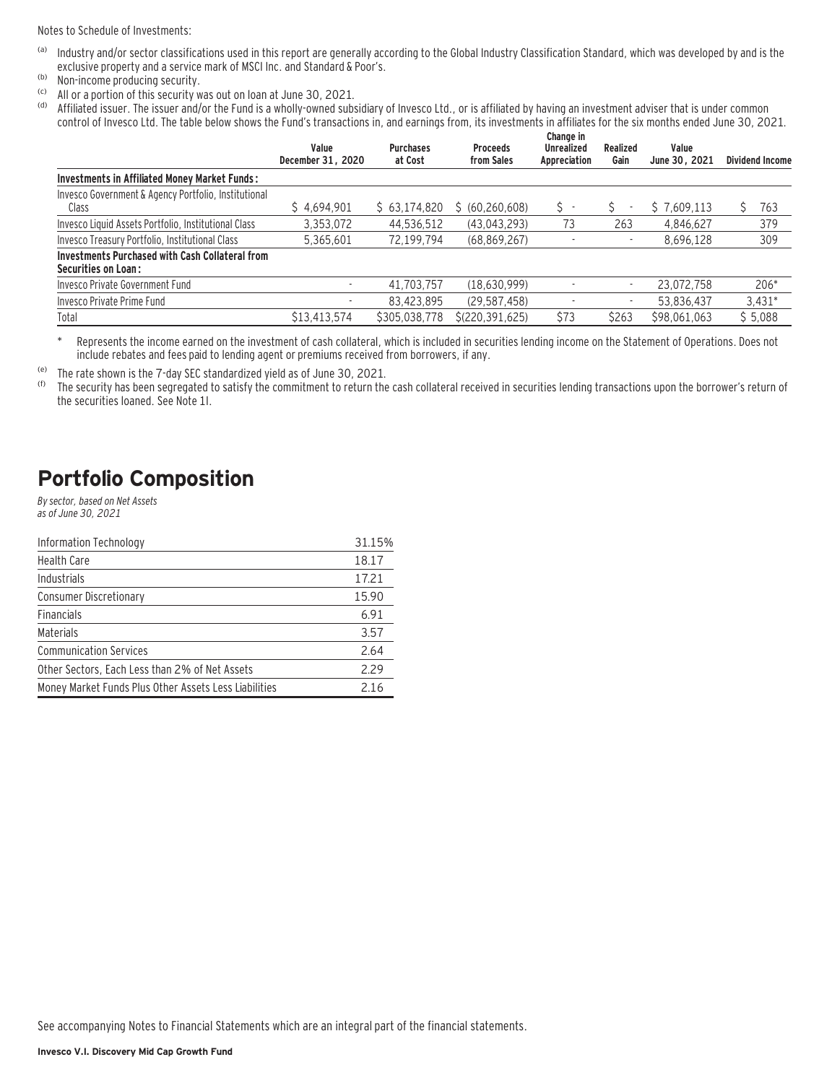Notes to Schedule of Investments:

- (a) Industry and/or sector classifications used in this report are generally according to the Global Industry Classification Standard, which was developed by and is the exclusive property and a service mark of MSCI Inc. and Standard & Poor's.
- (b) Non-income producing security.
- (c) All or a portion of this security was out on loan at June 30, 2021.
- (d) Affiliated issuer. The issuer and/or the Fund is a wholly-owned subsidiary of Invesco Ltd., or is affiliated by having an investment adviser that is under common control of Invesco Ltd. The table below shows the Fund's transactions in, and earnings from, its investments in affiliates for the six months ended June 30, 2021.

|                                                                               | Value<br>December 31, 2020 | <b>Purchases</b><br>at Cost | <b>Proceeds</b><br>from Sales | Change in<br><b>Unrealized</b><br>Appreciation | Realized<br>Gain         | Value<br>June 30, 2021 | <b>Dividend Income</b> |
|-------------------------------------------------------------------------------|----------------------------|-----------------------------|-------------------------------|------------------------------------------------|--------------------------|------------------------|------------------------|
| Investments in Affiliated Money Market Funds:                                 |                            |                             |                               |                                                |                          |                        |                        |
| Invesco Government & Agency Portfolio, Institutional<br>Class                 | \$4.694.901                | \$63,174,820                | \$ (60, 260, 608)             | s -                                            | ٠                        | \$7,609,113            | 763                    |
| Invesco Liquid Assets Portfolio, Institutional Class                          | 3.353.072                  | 44.536.512                  | (43,043,293)                  | 73                                             | 263                      | 4.846.627              | 379                    |
| Invesco Treasury Portfolio, Institutional Class                               | 5.365.601                  | 72,199,794                  | (68, 869, 267)                | $\overline{\phantom{a}}$                       | $\overline{\phantom{a}}$ | 8,696,128              | 309                    |
| Investments Purchased with Cash Collateral from<br><b>Securities on Loan:</b> |                            |                             |                               |                                                |                          |                        |                        |
| Invesco Private Government Fund                                               | $\overline{\phantom{a}}$   | 41.703.757                  | (18,630,999)                  |                                                | $\overline{\phantom{a}}$ | 23.072.758             | $206*$                 |
| Invesco Private Prime Fund                                                    | $\overline{\phantom{a}}$   | 83.423.895                  | (29.587.458)                  |                                                | $\overline{\phantom{a}}$ | 53,836,437             | $3,431*$               |
| Total                                                                         | \$13,413,574               | \$305,038,778               | \$(220, 391, 625)             | \$73                                           | \$263                    | \$98,061,063           | \$5,088                |

\* Represents the income earned on the investment of cash collateral, which is included in securities lending income on the Statement of Operations. Does not include rebates and fees paid to lending agent or premiums received from borrowers, if any.

(e) The rate shown is the 7-day SEC standardized yield as of June 30, 2021.

The security has been segregated to satisfy the commitment to return the cash collateral received in securities lending transactions upon the borrower's return of the securities loaned. See Note 1I.

### **Portfolio Composition**

By sector, based on Net Assets as of June 30, 2021

| Information Technology                                | 31.15% |
|-------------------------------------------------------|--------|
| <b>Health Care</b>                                    | 18.17  |
| Industrials                                           | 17.21  |
| <b>Consumer Discretionary</b>                         | 15.90  |
| <b>Financials</b>                                     | 6.91   |
| Materials                                             | 3.57   |
| <b>Communication Services</b>                         | 2.64   |
| Other Sectors, Each Less than 2% of Net Assets        | 2.29   |
| Money Market Funds Plus Other Assets Less Liabilities | 2.16   |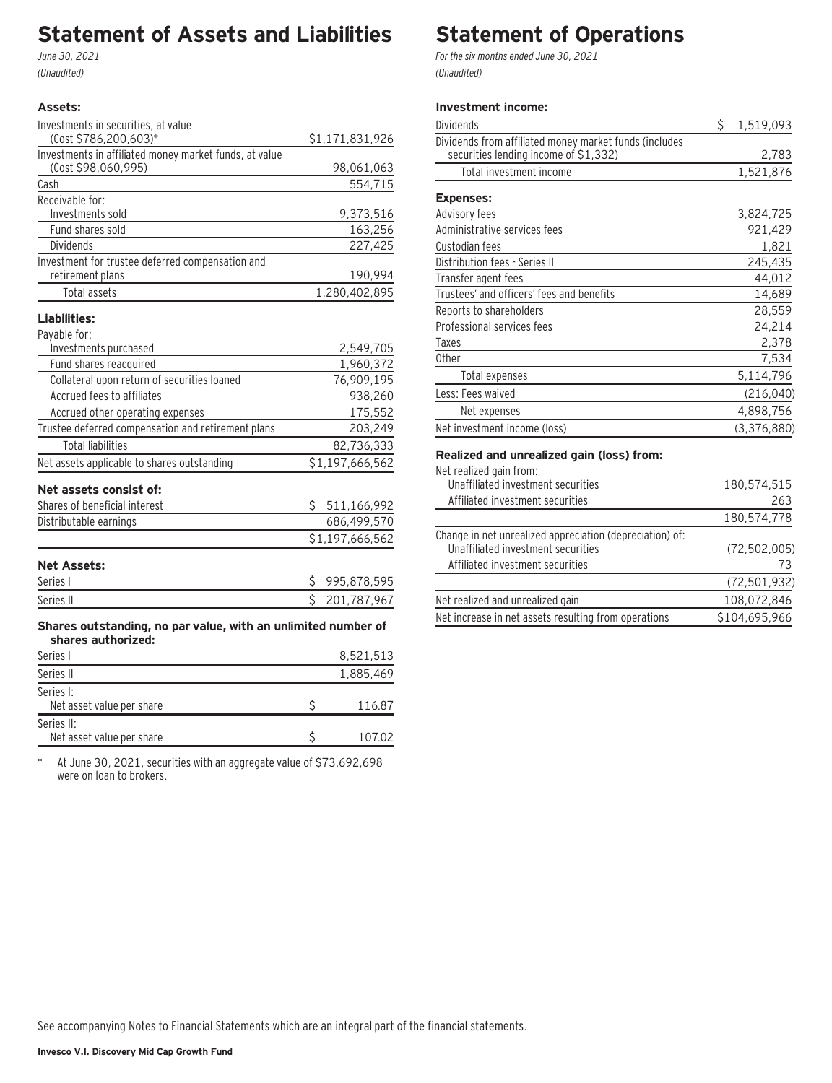## **Statement of Assets and Liabilities**

June 30, 2021 (Unaudited)

#### **Assets:**

| Investments in securities, at value                    |                 |
|--------------------------------------------------------|-----------------|
| (Cost \$786,200,603)*                                  | \$1,171,831,926 |
| Investments in affiliated money market funds, at value |                 |
| (Cost \$98,060,995)                                    | 98,061,063      |
| Cash                                                   | 554,715         |
| Receivable for:                                        |                 |
| Investments sold                                       | 9,373,516       |
| Fund shares sold                                       | 163,256         |
| Dividends                                              | 227,425         |
| Investment for trustee deferred compensation and       |                 |
| retirement plans                                       | 190,994         |
| Total assets                                           | 1,280,402,895   |
| Liabilities:                                           |                 |
| Payable for:                                           |                 |
| Investments purchased                                  | 2,549,705       |
| Fund shares reacquired                                 | 1,960,372       |
| Collateral upon return of securities loaned            | 76,909,195      |
| Accrued fees to affiliates                             | 938,260         |

| Accrued other operating expenses                   | 175,552           |
|----------------------------------------------------|-------------------|
| Trustee deferred compensation and retirement plans | 203,249           |
| Total liabilities                                  | 82,736,333        |
| Net assets applicable to shares outstanding        | \$1,197,666,562   |
| Net assets consist of:                             |                   |
| Shares of beneficial interest                      | Ŝ.<br>511,166,992 |
| Distributable earnings                             | 686,499,570       |
|                                                    | \$1,197,666,562   |
| <b>Net Assets:</b>                                 |                   |

| .         |               |
|-----------|---------------|
| Series I  | \$995,878,595 |
| Series II | \$201,787,967 |
|           |               |

**Shares outstanding, no par value, with an unlimited number of shares authorized:**

| Series I                                | 8,521,513 |
|-----------------------------------------|-----------|
| Series II                               | 1,885,469 |
| Series I:<br>Net asset value per share  | 116.87    |
| Series II:<br>Net asset value per share | 107.02    |

\* At June 30, 2021, securities with an aggregate value of \$73,692,698 were on loan to brokers.

## **Statement of Operations**

For the six months ended June 30, 2021 (Unaudited)

#### **Investment income:**

| Dividends                                                                                       | \$<br>1,519,093 |
|-------------------------------------------------------------------------------------------------|-----------------|
| Dividends from affiliated money market funds (includes<br>securities lending income of \$1,332) | 2,783           |
| Total investment income                                                                         | 1,521,876       |
| <b>Expenses:</b>                                                                                |                 |
| Advisory fees                                                                                   | 3,824,725       |
| Administrative services fees                                                                    | 921,429         |
| Custodian fees                                                                                  | 1,821           |
| Distribution fees - Series II                                                                   | 245,435         |
| Transfer agent fees                                                                             | 44,012          |
| Trustees' and officers' fees and benefits                                                       | 14,689          |
| Reports to shareholders                                                                         | 28,559          |
| Professional services fees                                                                      | 24,214          |
| Taxes                                                                                           | 2,378           |
| <b>Other</b>                                                                                    | 7,534           |
| Total expenses                                                                                  | 5,114,796       |
| Less: Fees waived                                                                               | (216, 040)      |
| Net expenses                                                                                    | 4,898,756       |
| Net investment income (loss)                                                                    | (3,376,880)     |

#### **Realized and unrealized gain (loss) from:**

| Net realized gain from:                                  |                |
|----------------------------------------------------------|----------------|
| Unaffiliated investment securities                       | 180,574,515    |
| Affiliated investment securities                         | 263            |
|                                                          | 180,574,778    |
| Change in net unrealized appreciation (depreciation) of: |                |
| Unaffiliated investment securities                       | (72, 502, 005) |
| Affiliated investment securities                         | 73             |
|                                                          | (72, 501, 932) |
| Net realized and unrealized gain                         | 108,072,846    |
| Net increase in net assets resulting from operations     | \$104,695,966  |
|                                                          |                |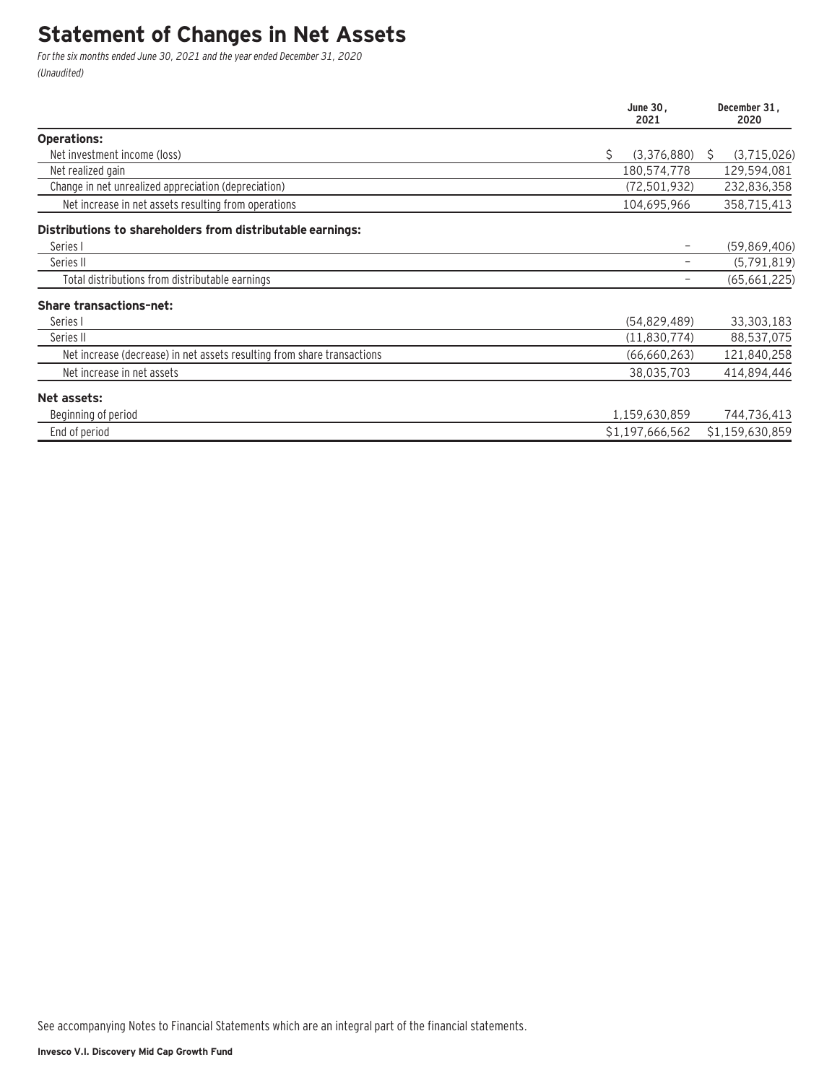### **Statement of Changes in Net Assets**

For the six months ended June 30, 2021 and the year ended December 31, 2020 (Unaudited)

|                                                                         | June 30,<br>2021  |   | December 31,<br>2020 |
|-------------------------------------------------------------------------|-------------------|---|----------------------|
| <b>Operations:</b>                                                      |                   |   |                      |
| Net investment income (loss)                                            | \$<br>(3,376,880) | S | (3,715,026)          |
| Net realized gain                                                       | 180,574,778       |   | 129,594,081          |
| Change in net unrealized appreciation (depreciation)                    | (72, 501, 932)    |   | 232,836,358          |
| Net increase in net assets resulting from operations                    | 104,695,966       |   | 358,715,413          |
| Distributions to shareholders from distributable earnings:              |                   |   |                      |
| Series I                                                                |                   |   | (59, 869, 406)       |
| Series II                                                               |                   |   | (5, 791, 819)        |
| Total distributions from distributable earnings                         |                   |   | (65,661,225)         |
| <b>Share transactions-net:</b>                                          |                   |   |                      |
| Series I                                                                | (54, 829, 489)    |   | 33,303,183           |
| Series II                                                               | (11,830,774)      |   | 88,537,075           |
| Net increase (decrease) in net assets resulting from share transactions | (66, 660, 263)    |   | 121,840,258          |
| Net increase in net assets                                              | 38,035,703        |   | 414,894,446          |
| Net assets:                                                             |                   |   |                      |
| Beginning of period                                                     | 1,159,630,859     |   | 744,736,413          |
| End of period                                                           | \$1,197,666,562   |   | \$1,159,630,859      |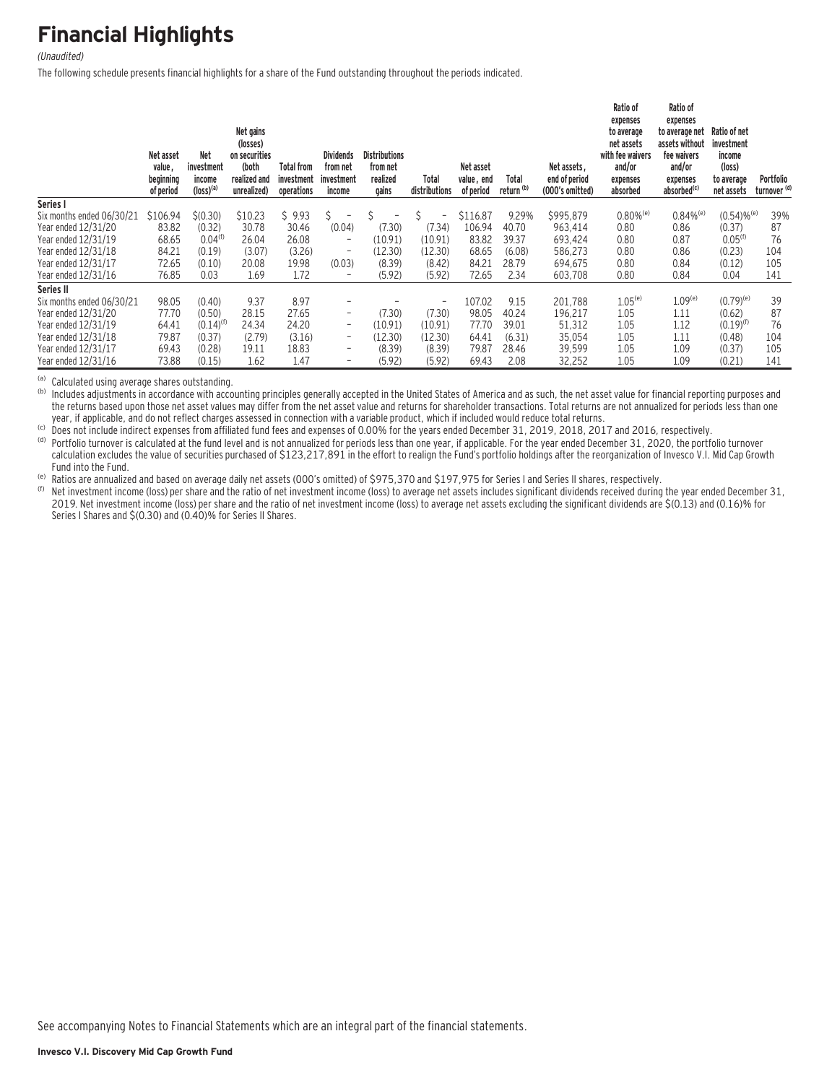## **Financial Highlights**

#### (Unaudited)

The following schedule presents financial highlights for a share of the Fund outstanding throughout the periods indicated.

|                           | Net asset<br>value,<br>beginning<br>of period | Net<br>investment<br>income<br>$(logs)$ <sup>(a)</sup> | Net gains<br>(losses)<br>on securities<br>(both<br>realized and<br>unrealized) | <b>Total from</b><br>investment<br>operations | <b>Dividends</b><br>from net<br>investment<br>income | <b>Distributions</b><br>from net<br>realized<br>gains | Total<br>distributions   | Net asset<br>value, end<br>of period | Total<br>return <sup>(b)</sup> | Net assets.<br>end of period<br>(000's omitted) | Ratio of<br>expenses<br>to average<br>net assets<br>with fee waivers<br>and/or<br>expenses<br>absorbed | Ratio of<br>expenses<br>to average net<br>assets without<br>fee waivers<br>and/or<br>expenses<br>absorbed <sup>(c)</sup> | Ratio of net<br>investment<br>income<br>(logs)<br>to average<br>net assets | Portfolio<br>turnover <sup>(d)</sup> |
|---------------------------|-----------------------------------------------|--------------------------------------------------------|--------------------------------------------------------------------------------|-----------------------------------------------|------------------------------------------------------|-------------------------------------------------------|--------------------------|--------------------------------------|--------------------------------|-------------------------------------------------|--------------------------------------------------------------------------------------------------------|--------------------------------------------------------------------------------------------------------------------------|----------------------------------------------------------------------------|--------------------------------------|
| Series I                  |                                               |                                                        |                                                                                |                                               |                                                      |                                                       |                          |                                      |                                |                                                 |                                                                                                        |                                                                                                                          |                                                                            |                                      |
| Six months ended 06/30/21 | \$106.94                                      | \$(0.30)                                               | \$10.23                                                                        | \$9.93                                        | Ŝ.<br>$\overline{\phantom{0}}$                       |                                                       | $\overline{\phantom{m}}$ | \$116.87                             | 9.29%                          | \$995,879                                       | $0.80\%$ <sup>(e)</sup>                                                                                | $0.84\%$ <sup>(e)</sup>                                                                                                  | $(0.54)$ % <sup>(e)</sup>                                                  | 39%                                  |
| Year ended 12/31/20       | 83.82                                         | (0.32)                                                 | 30.78                                                                          | 30.46                                         | (0.04)                                               | (7.30)                                                | (7.34)                   | 106.94                               | 40.70                          | 963,414                                         | 0.80                                                                                                   | 0.86                                                                                                                     | (0.37)                                                                     | 87                                   |
| Year ended 12/31/19       | 68.65                                         | 0.04 <sup>(f)</sup>                                    | 26.04                                                                          | 26.08                                         | $\qquad \qquad -$                                    | (10.91)                                               | (10.91)                  | 83.82                                | 39.37                          | 693,424                                         | 0.80                                                                                                   | 0.87                                                                                                                     | 0.05 <sup>(f)</sup>                                                        | 76                                   |
| Year ended 12/31/18       | 84.21                                         | (0.19)                                                 | (3.07)                                                                         | (3.26)                                        | -                                                    | (12.30)                                               | (12.30)                  | 68.65                                | (6.08)                         | 586,273                                         | 0.80                                                                                                   | 0.86                                                                                                                     | (0.23)                                                                     | 104                                  |
| Year ended 12/31/17       | 72.65                                         | (0.10)                                                 | 20.08                                                                          | 19.98                                         | (0.03)                                               | (8.39)                                                | (8.42)                   | 84.21                                | 28.79                          | 694.675                                         | 0.80                                                                                                   | 0.84                                                                                                                     | (0.12)                                                                     | 105                                  |
| Year ended 12/31/16       | 76.85                                         | 0.03                                                   | 1.69                                                                           | 1.72                                          | $\overline{a}$                                       | (5.92)                                                | (5.92)                   | 72.65                                | 2.34                           | 603,708                                         | 0.80                                                                                                   | 0.84                                                                                                                     | 0.04                                                                       | 141                                  |
| Series II                 |                                               |                                                        |                                                                                |                                               |                                                      |                                                       |                          |                                      |                                |                                                 |                                                                                                        |                                                                                                                          |                                                                            |                                      |
| Six months ended 06/30/21 | 98.05                                         | (0.40)                                                 | 9.37                                                                           | 8.97                                          | ۰                                                    |                                                       | $\overline{\phantom{0}}$ | 107.02                               | 9.15                           | 201,788                                         | $1.05^{(e)}$                                                                                           | $1.09^{(e)}$                                                                                                             | $(0.79)^{(e)}$                                                             | 39                                   |
| Year ended 12/31/20       | 77.70                                         | (0.50)                                                 | 28.15                                                                          | 27.65                                         | $\overline{\phantom{a}}$                             | (7.30)                                                | (7.30)                   | 98.05                                | 40.24                          | 196.217                                         | 1.05                                                                                                   | 1.11                                                                                                                     | (0.62)                                                                     | 87                                   |
| Year ended 12/31/19       | 64.41                                         | $(0.14)$ <sup>(f)</sup>                                | 24.34                                                                          | 24.20                                         | -                                                    | (10.91)                                               | (10.91)                  | 77.70                                | 39.01                          | 51,312                                          | 1.05                                                                                                   | 1.12                                                                                                                     | $(0.19)^{(f)}$                                                             | 76                                   |
| Year ended 12/31/18       | 79.87                                         | (0.37)                                                 | (2.79)                                                                         | (3.16)                                        | $\overline{\phantom{a}}$                             | (12.30)                                               | (12.30)                  | 64.41                                | (6.31)                         | 35,054                                          | 1.05                                                                                                   | 1.11                                                                                                                     | (0.48)                                                                     | 104                                  |
| Year ended 12/31/17       | 69.43                                         | (0.28)                                                 | 19.11                                                                          | 18.83                                         | $\qquad \qquad =$                                    | (8.39)                                                | (8.39)                   | 79.87                                | 28.46                          | 39,599                                          | 1.05                                                                                                   | 1.09                                                                                                                     | (0.37)                                                                     | 105                                  |
| Year ended 12/31/16       | 73.88                                         | (0.15)                                                 | 1.62                                                                           | 1.47                                          | -                                                    | (5.92)                                                | (5.92)                   | 69.43                                | 2.08                           | 32,252                                          | 1.05                                                                                                   | 1.09                                                                                                                     | (0.21)                                                                     | 141                                  |

(a) Calculated using average shares outstanding.<br>(b) Includes adjustments in accordance with accounting principles generally accepted in the United States of America and as such, the net asset value for financial reporting the returns based upon those net asset values may differ from the net asset value and returns for shareholder transactions. Total returns are not annualized for periods less than one year, if applicable, and do not reflect

(c) Does not include indirect expenses from affiliated fund fees and expenses of 0.00% for the years ended December 31, 2019, 2018, 2017 and 2016, respectively.<br>(d) Portfolio turnover is calculated at the fund level and is calculation excludes the value of securities purchased of \$123,217,891 in the effort to realign the Fund's portfolio holdings after the reorganization of Invesco V.I. Mid Cap Growth

Fund into the Fund.<br><sup>(e)</sup> Ratios are annualized and based on average daily net assets (OOO's omitted) of \$975,370 and \$197,975 for Series I and Series II shares, respectively.<br>(f) Net investment income (loss) per share and 2019. Net investment income (loss) per share and the ratio of net investment income (loss) to average net assets excluding the significant dividends are \$(0.13) and (0.16)% for Series I Shares and \$(0.30) and (0.40)% for Series II Shares.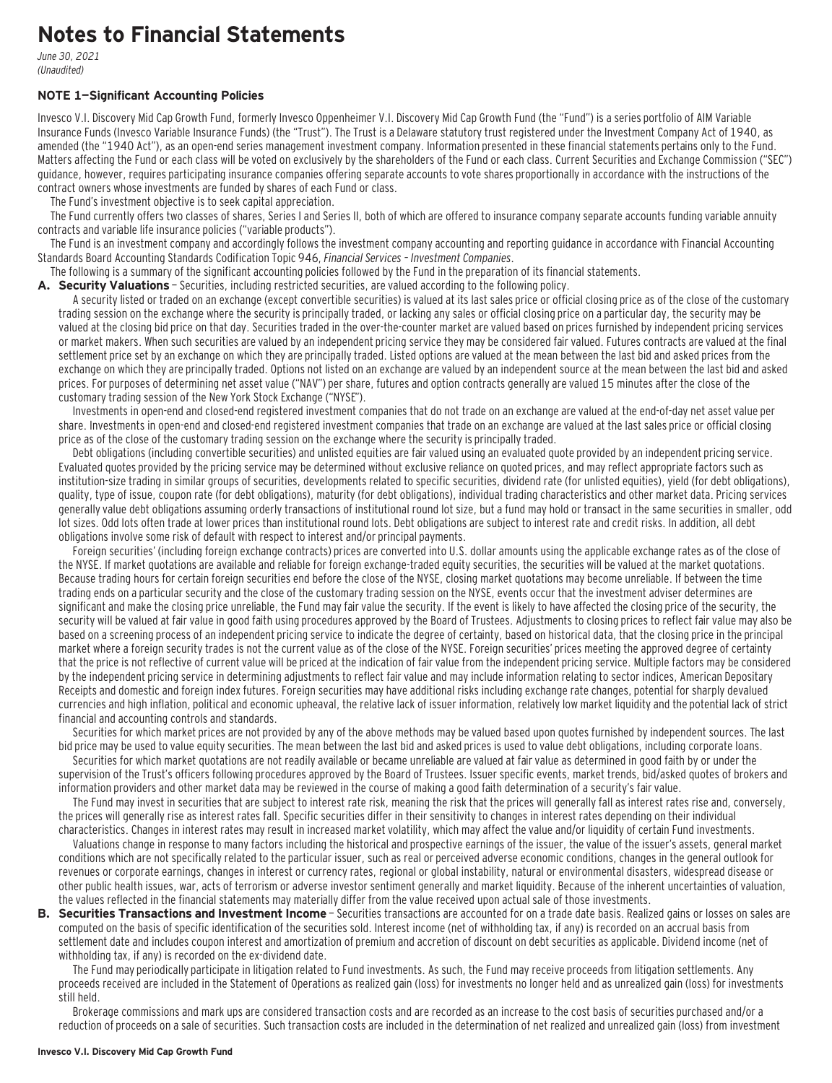### **Notes to Financial Statements**

June 30, 2021 (Unaudited)

#### **NOTE 1—Significant Accounting Policies**

Invesco V.I. Discovery Mid Cap Growth Fund, formerly Invesco Oppenheimer V.I. Discovery Mid Cap Growth Fund (the "Fund") is a series portfolio of AIM Variable Insurance Funds (Invesco Variable Insurance Funds) (the "Trust"). The Trust is a Delaware statutory trust registered under the Investment Company Act of 1940, as amended (the "1940 Act"), as an open-end series management investment company. Information presented in these financial statements pertains only to the Fund. Matters affecting the Fund or each class will be voted on exclusively by the shareholders of the Fund or each class. Current Securities and Exchange Commission ("SEC") guidance, however, requires participating insurance companies offering separate accounts to vote shares proportionally in accordance with the instructions of the contract owners whose investments are funded by shares of each Fund or class.

The Fund's investment objective is to seek capital appreciation.

The Fund currently offers two classes of shares, Series I and Series II, both of which are offered to insurance company separate accounts funding variable annuity contracts and variable life insurance policies ("variable products").

The Fund is an investment company and accordingly follows the investment company accounting and reporting guidance in accordance with Financial Accounting Standards Board Accounting Standards Codification Topic 946, Financial Services – Investment Companies.

The following is a summary of the significant accounting policies followed by the Fund in the preparation of its financial statements.

**A. Security Valuations** — Securities, including restricted securities, are valued according to the following policy.

A security listed or traded on an exchange (except convertible securities) is valued at its last sales price or official closing price as of the close of the customary trading session on the exchange where the security is principally traded, or lacking any sales or official closing price on a particular day, the security may be valued at the closing bid price on that day. Securities traded in the over-the-counter market are valued based on prices furnished by independent pricing services or market makers. When such securities are valued by an independent pricing service they may be considered fair valued. Futures contracts are valued at the final settlement price set by an exchange on which they are principally traded. Listed options are valued at the mean between the last bid and asked prices from the exchange on which they are principally traded. Options not listed on an exchange are valued by an independent source at the mean between the last bid and asked prices. For purposes of determining net asset value ("NAV") per share, futures and option contracts generally are valued 15 minutes after the close of the customary trading session of the New York Stock Exchange ("NYSE").

Investments in open-end and closed-end registered investment companies that do not trade on an exchange are valued at the end-of-day net asset value per share. Investments in open-end and closed-end registered investment companies that trade on an exchange are valued at the last sales price or official closing price as of the close of the customary trading session on the exchange where the security is principally traded.

Debt obligations (including convertible securities) and unlisted equities are fair valued using an evaluated quote provided by an independent pricing service. Evaluated quotes provided by the pricing service may be determined without exclusive reliance on quoted prices, and may reflect appropriate factors such as institution-size trading in similar groups of securities, developments related to specific securities, dividend rate (for unlisted equities), yield (for debt obligations), quality, type of issue, coupon rate (for debt obligations), maturity (for debt obligations), individual trading characteristics and other market data. Pricing services generally value debt obligations assuming orderly transactions of institutional round lot size, but a fund may hold or transact in the same securities in smaller, odd lot sizes. Odd lots often trade at lower prices than institutional round lots. Debt obligations are subject to interest rate and credit risks. In addition, all debt obligations involve some risk of default with respect to interest and/or principal payments.

Foreign securities' (including foreign exchange contracts) prices are converted into U.S. dollar amounts using the applicable exchange rates as of the close of the NYSE. If market quotations are available and reliable for foreign exchange-traded equity securities, the securities will be valued at the market quotations. Because trading hours for certain foreign securities end before the close of the NYSE, closing market quotations may become unreliable. If between the time trading ends on a particular security and the close of the customary trading session on the NYSE, events occur that the investment adviser determines are significant and make the closing price unreliable, the Fund may fair value the security. If the event is likely to have affected the closing price of the security, the security will be valued at fair value in good faith using procedures approved by the Board of Trustees. Adjustments to closing prices to reflect fair value may also be based on a screening process of an independent pricing service to indicate the degree of certainty, based on historical data, that the closing price in the principal market where a foreign security trades is not the current value as of the close of the NYSE. Foreign securities' prices meeting the approved degree of certainty that the price is not reflective of current value will be priced at the indication of fair value from the independent pricing service. Multiple factors may be considered by the independent pricing service in determining adjustments to reflect fair value and may include information relating to sector indices, American Depositary Receipts and domestic and foreign index futures. Foreign securities may have additional risks including exchange rate changes, potential for sharply devalued currencies and high inflation, political and economic upheaval, the relative lack of issuer information, relatively low market liquidity and the potential lack of strict financial and accounting controls and standards.

Securities for which market prices are not provided by any of the above methods may be valued based upon quotes furnished by independent sources. The last bid price may be used to value equity securities. The mean between the last bid and asked prices is used to value debt obligations, including corporate loans.

Securities for which market quotations are not readily available or became unreliable are valued at fair value as determined in good faith by or under the supervision of the Trust's officers following procedures approved by the Board of Trustees. Issuer specific events, market trends, bid/asked quotes of brokers and information providers and other market data may be reviewed in the course of making a good faith determination of a security's fair value.

The Fund may invest in securities that are subject to interest rate risk, meaning the risk that the prices will generally fall as interest rates rise and, conversely, the prices will generally rise as interest rates fall. Specific securities differ in their sensitivity to changes in interest rates depending on their individual characteristics. Changes in interest rates may result in increased market volatility, which may affect the value and/or liquidity of certain Fund investments.

Valuations change in response to many factors including the historical and prospective earnings of the issuer, the value of the issuer's assets, general market conditions which are not specifically related to the particular issuer, such as real or perceived adverse economic conditions, changes in the general outlook for revenues or corporate earnings, changes in interest or currency rates, regional or global instability, natural or environmental disasters, widespread disease or other public health issues, war, acts of terrorism or adverse investor sentiment generally and market liquidity. Because of the inherent uncertainties of valuation, the values reflected in the financial statements may materially differ from the value received upon actual sale of those investments.

**B. Securities Transactions and Investment Income** - Securities transactions are accounted for on a trade date basis. Realized gains or losses on sales are computed on the basis of specific identification of the securities sold. Interest income (net of withholding tax, if any) is recorded on an accrual basis from settlement date and includes coupon interest and amortization of premium and accretion of discount on debt securities as applicable. Dividend income (net of withholding tax, if any) is recorded on the ex-dividend date.

The Fund may periodically participate in litigation related to Fund investments. As such, the Fund may receive proceeds from litigation settlements. Any proceeds received are included in the Statement of Operations as realized gain (loss) for investments no longer held and as unrealized gain (loss) for investments still held.

Brokerage commissions and mark ups are considered transaction costs and are recorded as an increase to the cost basis of securities purchased and/or a reduction of proceeds on a sale of securities. Such transaction costs are included in the determination of net realized and unrealized gain (loss) from investment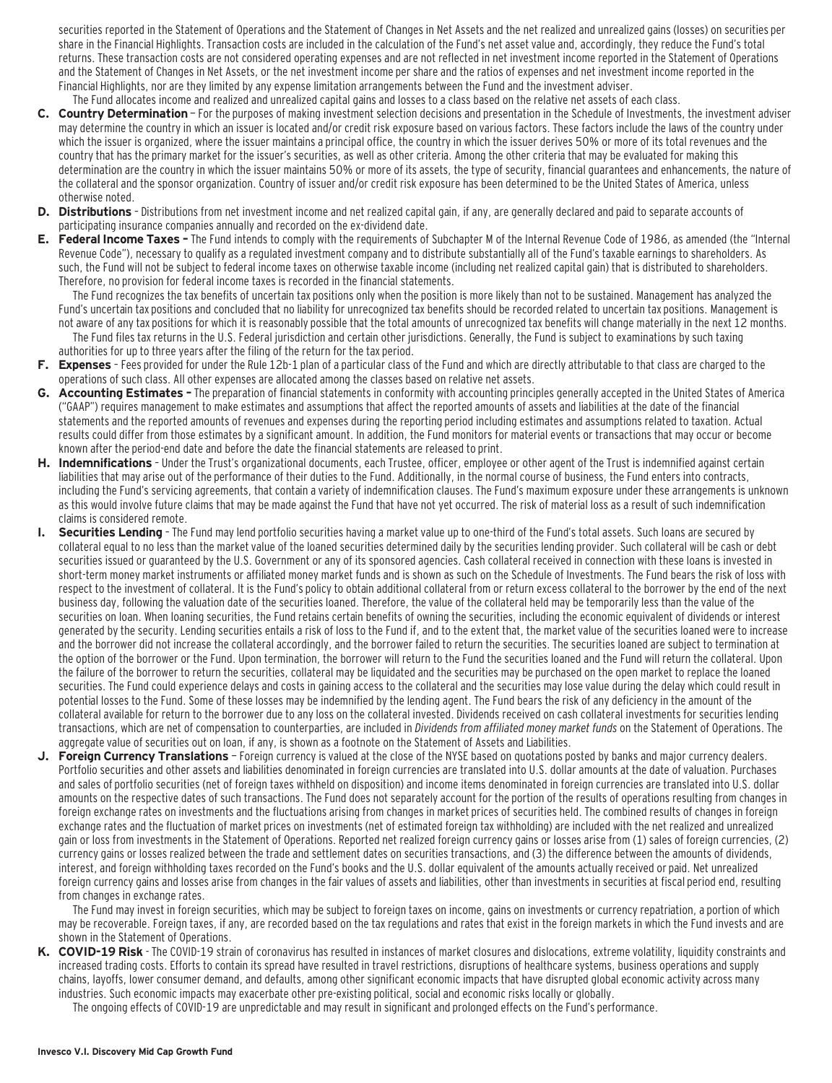securities reported in the Statement of Operations and the Statement of Changes in Net Assets and the net realized and unrealized gains (losses) on securities per share in the Financial Highlights. Transaction costs are included in the calculation of the Fund's net asset value and, accordingly, they reduce the Fund's total returns. These transaction costs are not considered operating expenses and are not reflected in net investment income reported in the Statement of Operations and the Statement of Changes in Net Assets, or the net investment income per share and the ratios of expenses and net investment income reported in the Financial Highlights, nor are they limited by any expense limitation arrangements between the Fund and the investment adviser. The Fund allocates income and realized and unrealized capital gains and losses to a class based on the relative net assets of each class.

- **C. Country Determination**  For the purposes of making investment selection decisions and presentation in the Schedule of Investments, the investment adviser may determine the country in which an issuer is located and/or credit risk exposure based on various factors. These factors include the laws of the country under which the issuer is organized, where the issuer maintains a principal office, the country in which the issuer derives 50% or more of its total revenues and the country that has the primary market for the issuer's securities, as well as other criteria. Among the other criteria that may be evaluated for making this determination are the country in which the issuer maintains 50% or more of its assets, the type of security, financial guarantees and enhancements, the nature of the collateral and the sponsor organization. Country of issuer and/or credit risk exposure has been determined to be the United States of America, unless otherwise noted.
- **D. Distributions**  Distributions from net investment income and net realized capital gain, if any, are generally declared and paid to separate accounts of participating insurance companies annually and recorded on the ex-dividend date.
- **E. Federal Income Taxes** The Fund intends to comply with the requirements of Subchapter M of the Internal Revenue Code of 1986, as amended (the "Internal Revenue Code"), necessary to qualify as a regulated investment company and to distribute substantially all of the Fund's taxable earnings to shareholders. As such, the Fund will not be subject to federal income taxes on otherwise taxable income (including net realized capital gain) that is distributed to shareholders. Therefore, no provision for federal income taxes is recorded in the financial statements.

The Fund recognizes the tax benefits of uncertain tax positions only when the position is more likely than not to be sustained. Management has analyzed the Fund's uncertain tax positions and concluded that no liability for unrecognized tax benefits should be recorded related to uncertain tax positions. Management is not aware of any tax positions for which it is reasonably possible that the total amounts of unrecognized tax benefits will change materially in the next 12 months.

- The Fund files tax returns in the U.S. Federal jurisdiction and certain other jurisdictions. Generally, the Fund is subject to examinations by such taxing authorities for up to three years after the filing of the return for the tax period.
- **F. Expenses**  Fees provided for under the Rule 12b-1 plan of a particular class of the Fund and which are directly attributable to that class are charged to the operations of such class. All other expenses are allocated among the classes based on relative net assets.
- **G. Accounting Estimates** The preparation of financial statements in conformity with accounting principles generally accepted in the United States of America ("GAAP") requires management to make estimates and assumptions that affect the reported amounts of assets and liabilities at the date of the financial statements and the reported amounts of revenues and expenses during the reporting period including estimates and assumptions related to taxation. Actual results could differ from those estimates by a significant amount. In addition, the Fund monitors for material events or transactions that may occur or become known after the period-end date and before the date the financial statements are released to print.
- **H. Indemnifications**  Under the Trust's organizational documents, each Trustee, officer, employee or other agent of the Trust is indemnified against certain liabilities that may arise out of the performance of their duties to the Fund. Additionally, in the normal course of business, the Fund enters into contracts, including the Fund's servicing agreements, that contain a variety of indemnification clauses. The Fund's maximum exposure under these arrangements is unknown as this would involve future claims that may be made against the Fund that have not yet occurred. The risk of material loss as a result of such indemnification claims is considered remote.
- **I. Securities Lending**  The Fund may lend portfolio securities having a market value up to one-third of the Fund's total assets. Such loans are secured by collateral equal to no less than the market value of the loaned securities determined daily by the securities lending provider. Such collateral will be cash or debt securities issued or guaranteed by the U.S. Government or any of its sponsored agencies. Cash collateral received in connection with these loans is invested in short-term money market instruments or affiliated money market funds and is shown as such on the Schedule of Investments. The Fund bears the risk of loss with respect to the investment of collateral. It is the Fund's policy to obtain additional collateral from or return excess collateral to the borrower by the end of the next business day, following the valuation date of the securities loaned. Therefore, the value of the collateral held may be temporarily less than the value of the securities on loan. When loaning securities, the Fund retains certain benefits of owning the securities, including the economic equivalent of dividends or interest generated by the security. Lending securities entails a risk of loss to the Fund if, and to the extent that, the market value of the securities loaned were to increase and the borrower did not increase the collateral accordingly, and the borrower failed to return the securities. The securities loaned are subject to termination at the option of the borrower or the Fund. Upon termination, the borrower will return to the Fund the securities loaned and the Fund will return the collateral. Upon the failure of the borrower to return the securities, collateral may be liquidated and the securities may be purchased on the open market to replace the loaned securities. The Fund could experience delays and costs in gaining access to the collateral and the securities may lose value during the delay which could result in potential losses to the Fund. Some of these losses may be indemnified by the lending agent. The Fund bears the risk of any deficiency in the amount of the collateral available for return to the borrower due to any loss on the collateral invested. Dividends received on cash collateral investments for securities lending transactions, which are net of compensation to counterparties, are included in Dividends from affiliated money market funds on the Statement of Operations. The aggregate value of securities out on loan, if any, is shown as a footnote on the Statement of Assets and Liabilities.
- **J. Foreign Currency Translations**  Foreign currency is valued at the close of the NYSE based on quotations posted by banks and major currency dealers. Portfolio securities and other assets and liabilities denominated in foreign currencies are translated into U.S. dollar amounts at the date of valuation. Purchases and sales of portfolio securities (net of foreign taxes withheld on disposition) and income items denominated in foreign currencies are translated into U.S. dollar amounts on the respective dates of such transactions. The Fund does not separately account for the portion of the results of operations resulting from changes in foreign exchange rates on investments and the fluctuations arising from changes in market prices of securities held. The combined results of changes in foreign exchange rates and the fluctuation of market prices on investments (net of estimated foreign tax withholding) are included with the net realized and unrealized gain or loss from investments in the Statement of Operations. Reported net realized foreign currency gains or losses arise from (1) sales of foreign currencies, (2) currency gains or losses realized between the trade and settlement dates on securities transactions, and (3) the difference between the amounts of dividends, interest, and foreign withholding taxes recorded on the Fund's books and the U.S. dollar equivalent of the amounts actually received or paid. Net unrealized foreign currency gains and losses arise from changes in the fair values of assets and liabilities, other than investments in securities at fiscal period end, resulting from changes in exchange rates.

The Fund may invest in foreign securities, which may be subject to foreign taxes on income, gains on investments or currency repatriation, a portion of which may be recoverable. Foreign taxes, if any, are recorded based on the tax regulations and rates that exist in the foreign markets in which the Fund invests and are shown in the Statement of Operations.

**K. COVID-19 Risk** - The COVID-19 strain of coronavirus has resulted in instances of market closures and dislocations, extreme volatility, liquidity constraints and increased trading costs. Efforts to contain its spread have resulted in travel restrictions, disruptions of healthcare systems, business operations and supply chains, layoffs, lower consumer demand, and defaults, among other significant economic impacts that have disrupted global economic activity across many industries. Such economic impacts may exacerbate other pre-existing political, social and economic risks locally or globally.

The ongoing effects of COVID-19 are unpredictable and may result in significant and prolonged effects on the Fund's performance.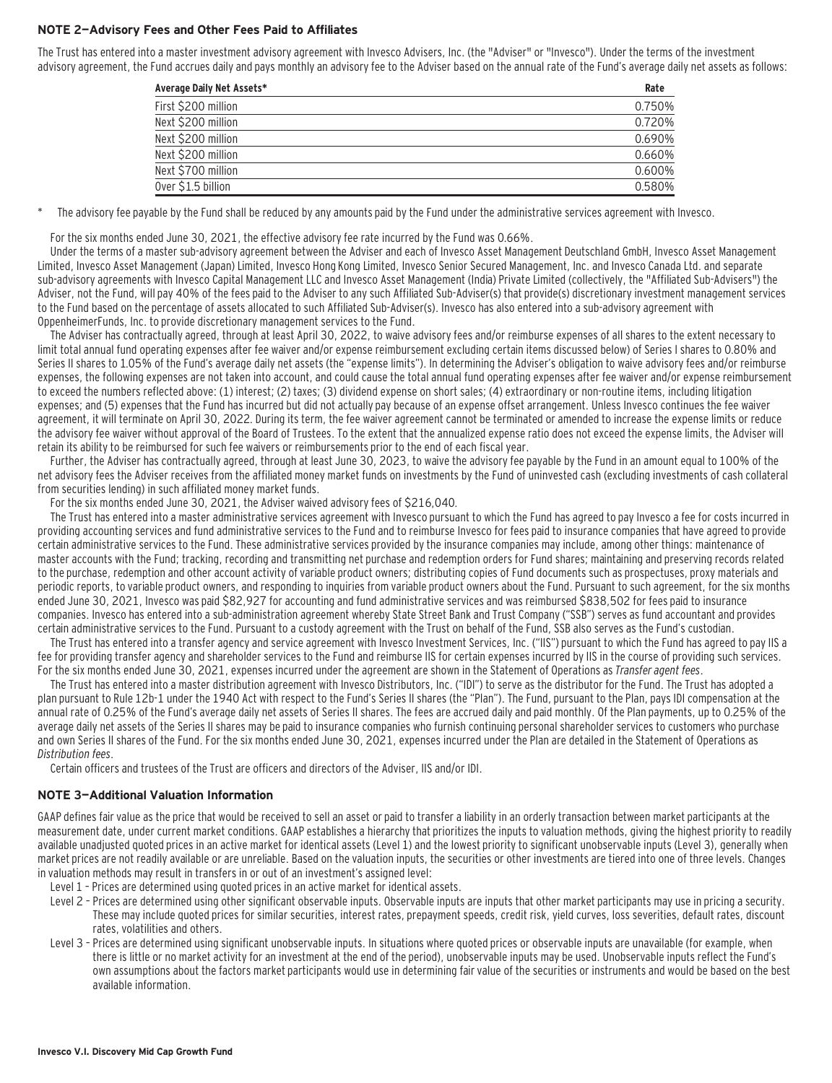#### **NOTE 2—Advisory Fees and Other Fees Paid to Affiliates**

The Trust has entered into a master investment advisory agreement with Invesco Advisers, Inc. (the "Adviser" or "Invesco"). Under the terms of the investment advisory agreement, the Fund accrues daily and pays monthly an advisory fee to the Adviser based on the annual rate of the Fund's average daily net assets as follows:

| Average Daily Net Assets* | Rate   |
|---------------------------|--------|
| First \$200 million       | 0.750% |
| Next \$200 million        | 0.720% |
| Next \$200 million        | 0.690% |
| Next \$200 million        | 0.660% |
| Next \$700 million        | 0.600% |
| Over \$1.5 billion        | 0.580% |

The advisory fee payable by the Fund shall be reduced by any amounts paid by the Fund under the administrative services agreement with Invesco.

For the six months ended June 30, 2021, the effective advisory fee rate incurred by the Fund was 0.66%.

Under the terms of a master sub-advisory agreement between the Adviser and each of Invesco Asset Management Deutschland GmbH, Invesco Asset Management Limited, Invesco Asset Management (Japan) Limited, Invesco Hong Kong Limited, Invesco Senior Secured Management, Inc. and Invesco Canada Ltd. and separate sub-advisory agreements with Invesco Capital Management LLC and Invesco Asset Management (India) Private Limited (collectively, the "Affiliated Sub-Advisers") the Adviser, not the Fund, will pay 40% of the fees paid to the Adviser to any such Affiliated Sub-Adviser(s) that provide(s) discretionary investment management services to the Fund based on the percentage of assets allocated to such Affiliated Sub-Adviser(s). Invesco has also entered into a sub-advisory agreement with OppenheimerFunds, Inc. to provide discretionary management services to the Fund.

The Adviser has contractually agreed, through at least April 30, 2022, to waive advisory fees and/or reimburse expenses of all shares to the extent necessary to limit total annual fund operating expenses after fee waiver and/or expense reimbursement excluding certain items discussed below) of Series I shares to 0.80% and Series II shares to 1.05% of the Fund's average daily net assets (the "expense limits"). In determining the Adviser's obligation to waive advisory fees and/or reimburse expenses, the following expenses are not taken into account, and could cause the total annual fund operating expenses after fee waiver and/or expense reimbursement to exceed the numbers reflected above: (1) interest; (2) taxes; (3) dividend expense on short sales; (4) extraordinary or non-routine items, including litigation expenses; and (5) expenses that the Fund has incurred but did not actually pay because of an expense offset arrangement. Unless Invesco continues the fee waiver agreement, it will terminate on April 30, 2022. During its term, the fee waiver agreement cannot be terminated or amended to increase the expense limits or reduce the advisory fee waiver without approval of the Board of Trustees. To the extent that the annualized expense ratio does not exceed the expense limits, the Adviser will retain its ability to be reimbursed for such fee waivers or reimbursements prior to the end of each fiscal year.

Further, the Adviser has contractually agreed, through at least June 30, 2023, to waive the advisory fee payable by the Fund in an amount equal to 100% of the net advisory fees the Adviser receives from the affiliated money market funds on investments by the Fund of uninvested cash (excluding investments of cash collateral from securities lending) in such affiliated money market funds.

For the six months ended June 30, 2021, the Adviser waived advisory fees of \$216,040.

The Trust has entered into a master administrative services agreement with Invesco pursuant to which the Fund has agreed to pay Invesco a fee for costs incurred in providing accounting services and fund administrative services to the Fund and to reimburse Invesco for fees paid to insurance companies that have agreed to provide certain administrative services to the Fund. These administrative services provided by the insurance companies may include, among other things: maintenance of master accounts with the Fund; tracking, recording and transmitting net purchase and redemption orders for Fund shares; maintaining and preserving records related to the purchase, redemption and other account activity of variable product owners; distributing copies of Fund documents such as prospectuses, proxy materials and periodic reports, to variable product owners, and responding to inquiries from variable product owners about the Fund. Pursuant to such agreement, for the six months ended June 30, 2021, Invesco was paid \$82,927 for accounting and fund administrative services and was reimbursed \$838,502 for fees paid to insurance companies. Invesco has entered into a sub-administration agreement whereby State Street Bank and Trust Company ("SSB") serves as fund accountant and provides certain administrative services to the Fund. Pursuant to a custody agreement with the Trust on behalf of the Fund, SSB also serves as the Fund's custodian.

The Trust has entered into a transfer agency and service agreement with Invesco Investment Services, Inc. ("IIS") pursuant to which the Fund has agreed to pay IIS a fee for providing transfer agency and shareholder services to the Fund and reimburse IIS for certain expenses incurred by IIS in the course of providing such services. For the six months ended June 30, 2021, expenses incurred under the agreement are shown in the Statement of Operations as Transfer agent fees.

The Trust has entered into a master distribution agreement with Invesco Distributors, Inc. ("IDI") to serve as the distributor for the Fund. The Trust has adopted a plan pursuant to Rule 12b-1 under the 1940 Act with respect to the Fund's Series II shares (the "Plan"). The Fund, pursuant to the Plan, pays IDI compensation at the annual rate of 0.25% of the Fund's average daily net assets of Series II shares. The fees are accrued daily and paid monthly. Of the Plan payments, up to 0.25% of the average daily net assets of the Series II shares may be paid to insurance companies who furnish continuing personal shareholder services to customers who purchase and own Series II shares of the Fund. For the six months ended June 30, 2021, expenses incurred under the Plan are detailed in the Statement of Operations as Distribution fees.

Certain officers and trustees of the Trust are officers and directors of the Adviser, IIS and/or IDI.

#### **NOTE 3—Additional Valuation Information**

GAAP defines fair value as the price that would be received to sell an asset or paid to transfer a liability in an orderly transaction between market participants at the measurement date, under current market conditions. GAAP establishes a hierarchy that prioritizes the inputs to valuation methods, giving the highest priority to readily available unadjusted quoted prices in an active market for identical assets (Level 1) and the lowest priority to significant unobservable inputs (Level 3), generally when market prices are not readily available or are unreliable. Based on the valuation inputs, the securities or other investments are tiered into one of three levels. Changes in valuation methods may result in transfers in or out of an investment's assigned level:

- Level 1 Prices are determined using quoted prices in an active market for identical assets.
- Level 2 Prices are determined using other significant observable inputs. Observable inputs that other market participants may use in pricing a security. These may include quoted prices for similar securities, interest rates, prepayment speeds, credit risk, yield curves, loss severities, default rates, discount rates, volatilities and others.
- Level 3 Prices are determined using significant unobservable inputs. In situations where quoted prices or observable inputs are unavailable (for example, when there is little or no market activity for an investment at the end of the period), unobservable inputs may be used. Unobservable inputs reflect the Fund's own assumptions about the factors market participants would use in determining fair value of the securities or instruments and would be based on the best available information.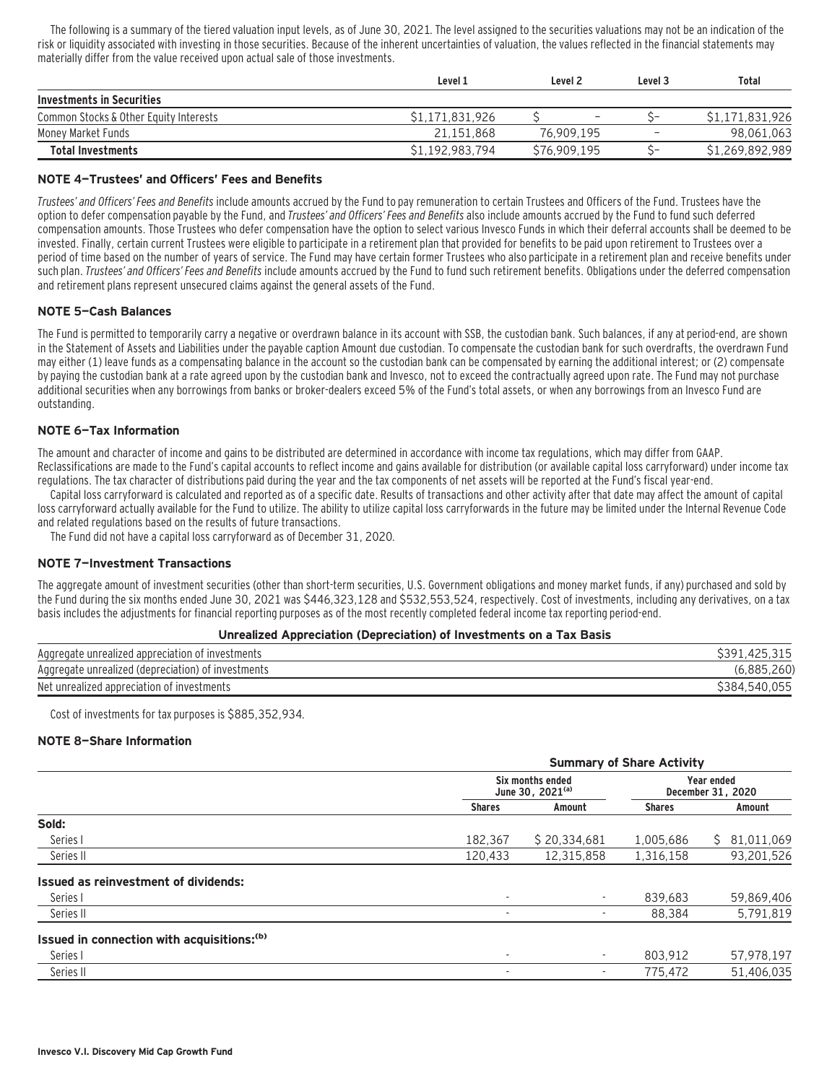The following is a summary of the tiered valuation input levels, as of June 30, 2021. The level assigned to the securities valuations may not be an indication of the risk or liquidity associated with investing in those securities. Because of the inherent uncertainties of valuation, the values reflected in the financial statements may materially differ from the value received upon actual sale of those investments.

|                                        | Level 1         | Level <sub>2</sub> | Level 3 | <b>Total</b>    |
|----------------------------------------|-----------------|--------------------|---------|-----------------|
| Investments in Securities              |                 |                    |         |                 |
| Common Stocks & Other Equity Interests | \$1.171.831.926 |                    |         | \$1.171.831.926 |
| Money Market Funds                     | 21.151.868      | 76.909.195         | -       | 98,061,063      |
| <b>Total Investments</b>               | \$1,192,983,794 | \$76,909,195       |         | \$1,269,892,989 |

#### **NOTE 4—Trustees' and Officers' Fees and Benefits**

Trustees' and Officers' Fees and Benefits include amounts accrued by the Fund to pay remuneration to certain Trustees and Officers of the Fund. Trustees have the option to defer compensation payable by the Fund, and Trustees' and Officers' Fees and Benefits also include amounts accrued by the Fund to fund such deferred compensation amounts. Those Trustees who defer compensation have the option to select various Invesco Funds in which their deferral accounts shall be deemed to be invested. Finally, certain current Trustees were eligible to participate in a retirement plan that provided for benefits to be paid upon retirement to Trustees over a period of time based on the number of years of service. The Fund may have certain former Trustees who also participate in a retirement plan and receive benefits under such plan. Trustees' and Officers' Fees and Benefits include amounts accrued by the Fund to fund such retirement benefits. Obligations under the deferred compensation and retirement plans represent unsecured claims against the general assets of the Fund.

#### **NOTE 5—Cash Balances**

The Fund is permitted to temporarily carry a negative or overdrawn balance in its account with SSB, the custodian bank. Such balances, if any at period-end, are shown in the Statement of Assets and Liabilities under the payable caption Amount due custodian. To compensate the custodian bank for such overdrafts, the overdrawn Fund may either (1) leave funds as a compensating balance in the account so the custodian bank can be compensated by earning the additional interest; or (2) compensate by paying the custodian bank at a rate agreed upon by the custodian bank and Invesco, not to exceed the contractually agreed upon rate. The Fund may not purchase additional securities when any borrowings from banks or broker-dealers exceed 5% of the Fund's total assets, or when any borrowings from an Invesco Fund are outstanding.

#### **NOTE 6—Tax Information**

The amount and character of income and gains to be distributed are determined in accordance with income tax regulations, which may differ from GAAP. Reclassifications are made to the Fund's capital accounts to reflect income and gains available for distribution (or available capital loss carryforward) under income tax regulations. The tax character of distributions paid during the year and the tax components of net assets will be reported at the Fund's fiscal year-end.

Capital loss carryforward is calculated and reported as of a specific date. Results of transactions and other activity after that date may affect the amount of capital loss carryforward actually available for the Fund to utilize. The ability to utilize capital loss carryforwards in the future may be limited under the Internal Revenue Code and related regulations based on the results of future transactions.

The Fund did not have a capital loss carryforward as of December 31, 2020.

#### **NOTE 7—Investment Transactions**

The aggregate amount of investment securities (other than short-term securities, U.S. Government obligations and money market funds, if any) purchased and sold by the Fund during the six months ended June 30, 2021 was \$446,323,128 and \$532,553,524, respectively. Cost of investments, including any derivatives, on a tax basis includes the adjustments for financial reporting purposes as of the most recently completed federal income tax reporting period-end.

#### **Unrealized Appreciation (Depreciation) of Investments on a Tax Basis**

| Aggregate unrealized appreciation of investments   | 425.315<br>425<br>,39 |
|----------------------------------------------------|-----------------------|
| Aggregate unrealized (depreciation) of investments | .885.260<br>6 885'    |
| Net unrealized appreciation of investments         | ,055<br>3384<br>540   |

Cost of investments for tax purposes is \$885,352,934.

#### **NOTE 8—Share Information**

|                                                        |                          | <b>Summary of Share Activity</b>                 |               |                                 |  |  |  |
|--------------------------------------------------------|--------------------------|--------------------------------------------------|---------------|---------------------------------|--|--|--|
|                                                        |                          | Six months ended<br>June 30, 2021 <sup>(a)</sup> |               | Year ended<br>December 31, 2020 |  |  |  |
|                                                        | <b>Shares</b>            | Amount                                           | <b>Shares</b> | Amount                          |  |  |  |
| Sold:                                                  |                          |                                                  |               |                                 |  |  |  |
| Series I                                               | 182.367                  | \$20,334,681                                     | 1,005,686     | 81,011,069<br>S.                |  |  |  |
| Series II                                              | 120,433                  | 12,315,858                                       | 1,316,158     | 93,201,526                      |  |  |  |
| <b>Issued as reinvestment of dividends:</b>            |                          |                                                  |               |                                 |  |  |  |
| Series I                                               | $\overline{\phantom{a}}$ |                                                  | 839.683       | 59,869,406                      |  |  |  |
| Series II                                              | $\overline{\phantom{a}}$ | ٠                                                | 88,384        | 5,791,819                       |  |  |  |
| Issued in connection with acquisitions: <sup>(b)</sup> |                          |                                                  |               |                                 |  |  |  |
| Series I                                               | $\overline{\phantom{a}}$ | ٠                                                | 803.912       | 57,978,197                      |  |  |  |
| Series II                                              | $\overline{\phantom{a}}$ | ٠                                                | 775,472       | 51,406,035                      |  |  |  |
|                                                        |                          |                                                  |               |                                 |  |  |  |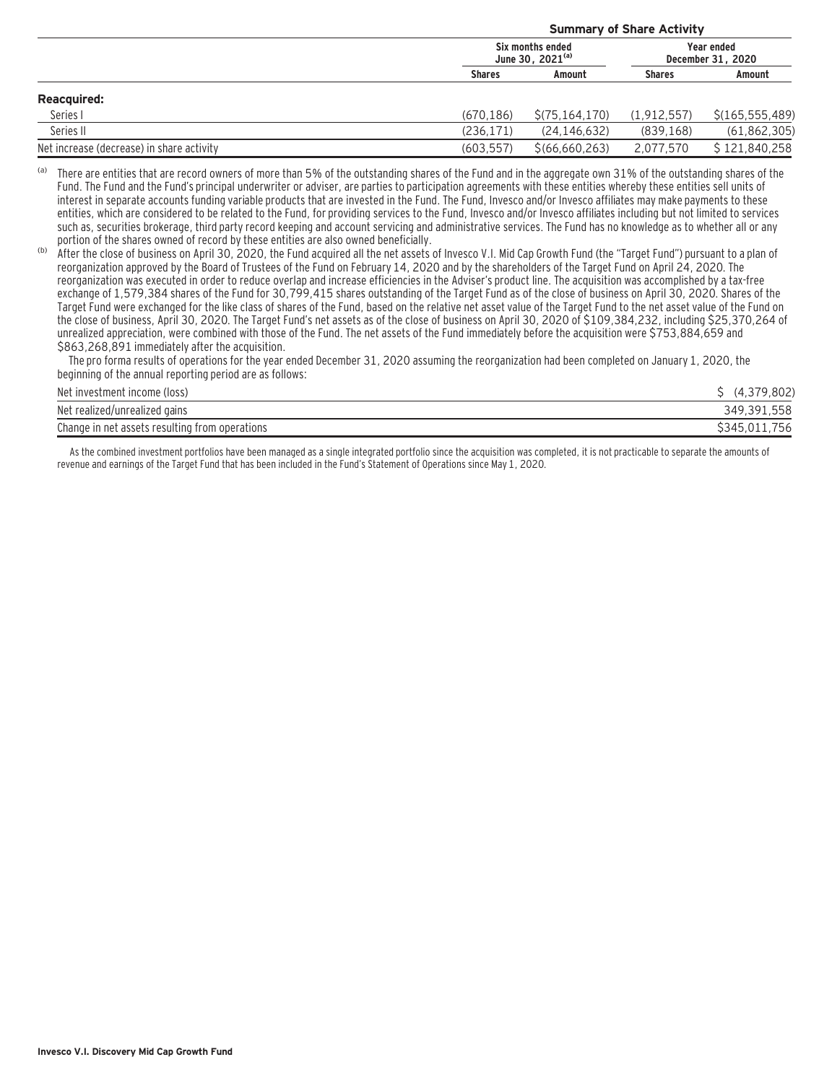|                                           |               | <b>Summary of Share Activity</b>          |               |                                 |  |  |  |  |
|-------------------------------------------|---------------|-------------------------------------------|---------------|---------------------------------|--|--|--|--|
|                                           |               | Six months ended<br>June 30, $2021^{(a)}$ |               | Year ended<br>December 31, 2020 |  |  |  |  |
|                                           | <b>Shares</b> | Amount                                    | <b>Shares</b> | Amount                          |  |  |  |  |
| <b>Reacquired:</b>                        |               |                                           |               |                                 |  |  |  |  |
| Series I                                  | (670.186)     | \$(75, 164, 170)                          | (1.912.557)   | \$(165, 555, 489)               |  |  |  |  |
| Series II                                 | (236, 171)    | (24, 146, 632)                            | (839, 168)    | (61, 862, 305)                  |  |  |  |  |
| Net increase (decrease) in share activity | (603.557)     | \$(66, 660, 263)                          | 2.077.570     | \$121.840.258                   |  |  |  |  |

(a) There are entities that are record owners of more than 5% of the outstanding shares of the Fund and in the aggregate own 31% of the outstanding shares of the Fund. The Fund and the Fund's principal underwriter or adviser, are parties to participation agreements with these entities whereby these entities sell units of interest in separate accounts funding variable products that are invested in the Fund. The Fund, Invesco and/or Invesco affiliates may make payments to these entities, which are considered to be related to the Fund, for providing services to the Fund, Invesco and/or Invesco affiliates including but not limited to services such as, securities brokerage, third party record keeping and account servicing and administrative services. The Fund has no knowledge as to whether all or any portion of the shares owned of record by these entities are also owned beneficially.

(b) After the close of business on April 30, 2020, the Fund acquired all the net assets of Invesco V.I. Mid Cap Growth Fund (the "Target Fund") pursuant to a plan of reorganization approved by the Board of Trustees of the Fund on February 14, 2020 and by the shareholders of the Target Fund on April 24, 2020. The reorganization was executed in order to reduce overlap and increase efficiencies in the Adviser's product line. The acquisition was accomplished by a tax-free exchange of 1,579,384 shares of the Fund for 30,799,415 shares outstanding of the Target Fund as of the close of business on April 30, 2020. Shares of the Target Fund were exchanged for the like class of shares of the Fund, based on the relative net asset value of the Target Fund to the net asset value of the Fund on the close of business, April 30, 2020. The Target Fund's net assets as of the close of business on April 30, 2020 of \$109,384,232, including \$25,370,264 of unrealized appreciation, were combined with those of the Fund. The net assets of the Fund immediately before the acquisition were \$753,884,659 and \$863,268,891 immediately after the acquisition.

 The pro forma results of operations for the year ended December 31, 2020 assuming the reorganization had been completed on January 1, 2020, the beginning of the annual reporting period are as follows:

| Net investment income (loss)                   | .802             |
|------------------------------------------------|------------------|
| Net realized/unrealized gains                  | 349.391.558      |
| Change in net assets resulting from operations | 756<br>\$345.011 |

As the combined investment portfolios have been managed as a single integrated portfolio since the acquisition was completed, it is not practicable to separate the amounts of revenue and earnings of the Target Fund that has been included in the Fund's Statement of Operations since May 1, 2020.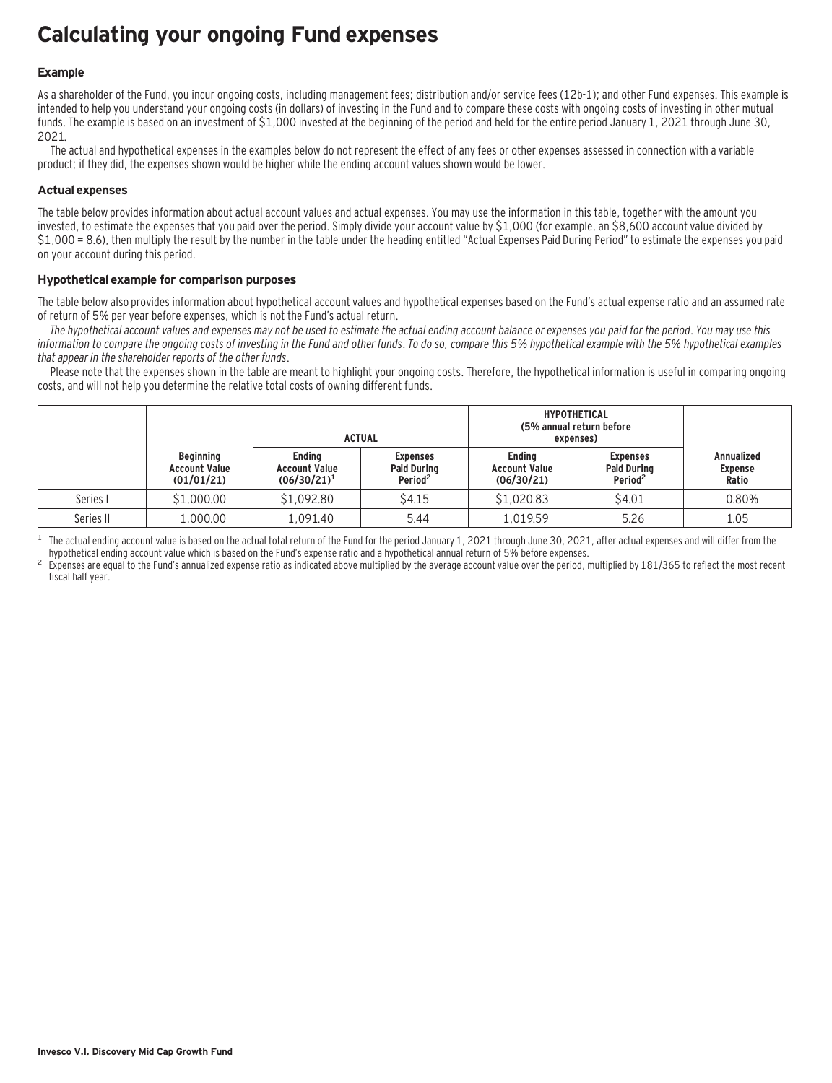## **Calculating your ongoing Fund expenses**

#### **Example**

As a shareholder of the Fund, you incur ongoing costs, including management fees; distribution and/or service fees (12b-1); and other Fund expenses. This example is intended to help you understand your ongoing costs (in dollars) of investing in the Fund and to compare these costs with ongoing costs of investing in other mutual funds. The example is based on an investment of \$1,000 invested at the beginning of the period and held for the entire period January 1, 2021 through June 30, 2021.

The actual and hypothetical expenses in the examples below do not represent the effect of any fees or other expenses assessed in connection with a variable product; if they did, the expenses shown would be higher while the ending account values shown would be lower.

#### **Actual expenses**

The table below provides information about actual account values and actual expenses. You may use the information in this table, together with the amount you invested, to estimate the expenses that you paid over the period. Simply divide your account value by \$1,000 (for example, an \$8,600 account value divided by \$1,000 = 8.6), then multiply the result by the number in the table under the heading entitled "Actual Expenses Paid During Period" to estimate the expenses you paid on your account during this period.

#### **Hypothetical example for comparison purposes**

The table below also provides information about hypothetical account values and hypothetical expenses based on the Fund's actual expense ratio and an assumed rate of return of 5% per year before expenses, which is not the Fund's actual return.

The hypothetical account values and expenses may not be used to estimate the actual ending account balance or expenses you paid for the period. You may use this information to compare the ongoing costs of investing in the Fund and other funds. To do so, compare this 5% hypothetical example with the 5% hypothetical examples that appear in the shareholder reports of the other funds.

Please note that the expenses shown in the table are meant to highlight your ongoing costs. Therefore, the hypothetical information is useful in comparing ongoing costs, and will not help you determine the relative total costs of owning different funds.

|           |                                                        |                                                         | <b>ACTUAL</b>                                                | <b>HYPOTHETICAL</b><br>(5% annual return before<br>expenses) |                                                              |                                              |
|-----------|--------------------------------------------------------|---------------------------------------------------------|--------------------------------------------------------------|--------------------------------------------------------------|--------------------------------------------------------------|----------------------------------------------|
|           | <b>Beginning</b><br><b>Account Value</b><br>(01/01/21) | <b>Ending</b><br><b>Account Value</b><br>$(06/30/21)^1$ | <b>Expenses</b><br><b>Paid During</b><br>Period <sup>2</sup> | <b>Ending</b><br><b>Account Value</b><br>(06/30/21)          | <b>Expenses</b><br><b>Paid During</b><br>Period <sup>2</sup> | <b>Annualized</b><br><b>Expense</b><br>Ratio |
| Series I  | \$1,000.00                                             | \$1,092.80                                              | \$4.15                                                       | \$1,020.83                                                   | \$4.01                                                       | 0.80%                                        |
| Series II | 1,000.00                                               | 1.091.40                                                | 5.44                                                         | L.019.59                                                     | 5.26                                                         | 1.05                                         |

<sup>1</sup> The actual ending account value is based on the actual total return of the Fund for the period January 1, 2021 through June 30, 2021, after actual expenses and will differ from the hund's expense ratio and a hypothetic

Expenses are equal to the Fund's annualized expense ratio as indicated above multiplied by the average account value over the period, multiplied by 181/365 to reflect the most recent fiscal half year.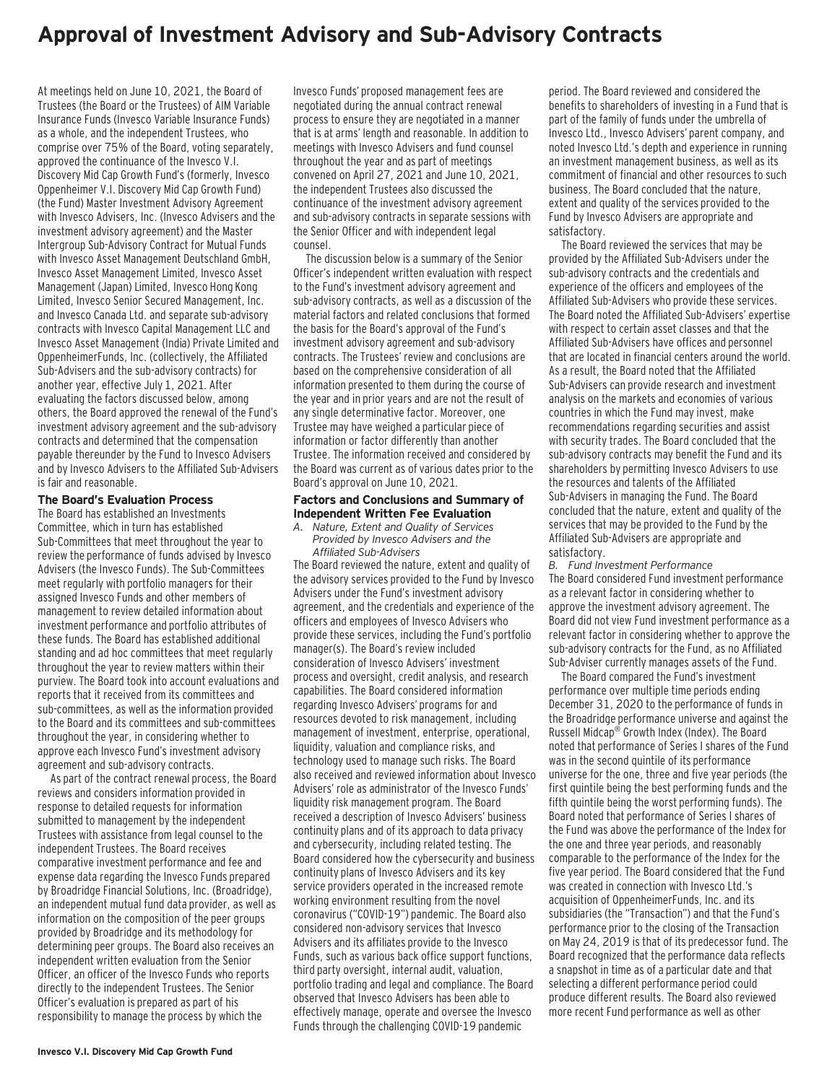### **Approval of Investment Advisory and Sub-Advisory Contracts**

At meetings held on June 10, 2021, the Board of Trustees (the Board or the Trustees) of AIM Variable Insurance Funds (Invesco Variable Insurance Funds) as a whole, and the independent Trustees, who comprise over 75% of the Board, voting separately, approved the continuance of the Invesco V.I. Discovery Mid Cap Growth Fund's (formerly, Invesco Oppenheimer V.I. Discovery Mid Cap Growth Fund) (the Fund) Master Investment Advisory Agreement with Invesco Advisers, Inc. (Invesco Advisers and the investment advisory agreement) and the Master Intergroup Sub-Advisory Contract for Mutual Funds with Invesco Asset Management Deutschland GmbH, Invesco Asset Management Limited, Invesco Asset Management (Japan) Limited, Invesco Hong Kong Limited, Invesco Senior Secured Management, Inc. and Invesco Canada Ltd. and separate sub-advisory contracts with Invesco Capital Management LLC and Invesco Asset Management (India) Private Limited and OppenheimerFunds, Inc. (collectively, the Affiliated Sub-Advisers and the sub-advisory contracts) for another year, effective July 1, 2021. After evaluating the factors discussed below, among others, the Board approved the renewal of the Fund's investment advisory agreement and the sub-advisory contracts and determined that the compensation payable thereunder by the Fund to Invesco Advisers and by Invesco Advisers to the Affiliated Sub-Advisers is fair and reasonable.

#### **The Board's Evaluation Process**

The Board has established an Investments Committee, which in turn has established Sub-Committees that meet throughout the year to review the performance of funds advised by Invesco Advisers (the Invesco Funds). The Sub-Committees meet regularly with portfolio managers for their assigned Invesco Funds and other members of management to review detailed information about investment performance and portfolio attributes of these funds. The Board has established additional standing and ad hoc committees that meet regularly throughout the year to review matters within their purview. The Board took into account evaluations and reports that it received from its committees and sub-committees, as well as the information provided to the Board and its committees and sub-committees throughout the year, in considering whether to approve each Invesco Fund's investment advisory agreement and sub-advisory contracts.

As part of the contract renewal process, the Board reviews and considers information provided in response to detailed requests for information submitted to management by the independent Trustees with assistance from legal counsel to the independent Trustees. The Board receives comparative investment performance and fee and expense data regarding the Invesco Funds prepared by Broadridge Financial Solutions, Inc. (Broadridge), an independent mutual fund data provider, as well as information on the composition of the peer groups provided by Broadridge and its methodology for determining peer groups. The Board also receives an independent written evaluation from the Senior Officer, an officer of the Invesco Funds who reports directly to the independent Trustees. The Senior Officer's evaluation is prepared as part of his responsibility to manage the process by which the

Invesco Funds' proposed management fees are negotiated during the annual contract renewal process to ensure they are negotiated in a manner that is at arms' length and reasonable. In addition to meetings with Invesco Advisers and fund counsel throughout the year and as part of meetings convened on April 27, 2021 and June 10, 2021, the independent Trustees also discussed the continuance of the investment advisory agreement and sub-advisory contracts in separate sessions with the Senior Officer and with independent legal counsel.

The discussion below is a summary of the Senior Officer's independent written evaluation with respect to the Fund's investment advisory agreement and sub-advisory contracts, as well as a discussion of the material factors and related conclusions that formed the basis for the Board's approval of the Fund's investment advisory agreement and sub-advisory contracts. The Trustees' review and conclusions are based on the comprehensive consideration of all information presented to them during the course of the year and in prior years and are not the result of any single determinative factor. Moreover, one Trustee may have weighed a particular piece of information or factor differently than another Trustee. The information received and considered by the Board was current as of various dates prior to the Board's approval on June 10, 2021.

#### **Factors and Conclusions and Summary of Independent Written Fee Evaluation**

*A. Nature, Extent and Quality of Services Provided by Invesco Advisers and the Affiliated Sub-Advisers*

The Board reviewed the nature, extent and quality of the advisory services provided to the Fund by Invesco Advisers under the Fund's investment advisory agreement, and the credentials and experience of the officers and employees of Invesco Advisers who provide these services, including the Fund's portfolio manager(s). The Board's review included consideration of Invesco Advisers' investment process and oversight, credit analysis, and research capabilities. The Board considered information regarding Invesco Advisers' programs for and resources devoted to risk management, including management of investment, enterprise, operational, liquidity, valuation and compliance risks, and technology used to manage such risks. The Board also received and reviewed information about Invesco Advisers' role as administrator of the Invesco Funds' liquidity risk management program. The Board received a description of Invesco Advisers' business continuity plans and of its approach to data privacy and cybersecurity, including related testing. The Board considered how the cybersecurity and business continuity plans of Invesco Advisers and its key service providers operated in the increased remote working environment resulting from the novel coronavirus ("COVID-19") pandemic. The Board also considered non-advisory services that Invesco Advisers and its affiliates provide to the Invesco Funds, such as various back office support functions, third party oversight, internal audit, valuation, portfolio trading and legal and compliance. The Board observed that Invesco Advisers has been able to effectively manage, operate and oversee the Invesco Funds through the challenging COVID-19 pandemic

period. The Board reviewed and considered the benefits to shareholders of investing in a Fund that is part of the family of funds under the umbrella of Invesco Ltd., Invesco Advisers' parent company, and noted Invesco Ltd.'s depth and experience in running an investment management business, as well as its commitment of financial and other resources to such business. The Board concluded that the nature, extent and quality of the services provided to the Fund by Invesco Advisers are appropriate and satisfactory.

The Board reviewed the services that may be provided by the Affiliated Sub-Advisers under the sub-advisory contracts and the credentials and experience of the officers and employees of the Affiliated Sub-Advisers who provide these services. The Board noted the Affiliated Sub-Advisers' expertise with respect to certain asset classes and that the Affiliated Sub-Advisers have offices and personnel that are located in financial centers around the world. As a result, the Board noted that the Affiliated Sub-Advisers can provide research and investment analysis on the markets and economies of various countries in which the Fund may invest, make recommendations regarding securities and assist with security trades. The Board concluded that the sub-advisory contracts may benefit the Fund and its shareholders by permitting Invesco Advisers to use the resources and talents of the Affiliated Sub-Advisers in managing the Fund. The Board concluded that the nature, extent and quality of the services that may be provided to the Fund by the Affiliated Sub-Advisers are appropriate and satisfactory.

*B. Fund Investment Performance* The Board considered Fund investment performance as a relevant factor in considering whether to approve the investment advisory agreement. The Board did not view Fund investment performance as a relevant factor in considering whether to approve the sub-advisory contracts for the Fund, as no Affiliated Sub-Adviser currently manages assets of the Fund.

The Board compared the Fund's investment performance over multiple time periods ending December 31, 2020 to the performance of funds in the Broadridge performance universe and against the Russell Midcap® Growth Index (Index). The Board noted that performance of Series I shares of the Fund was in the second quintile of its performance universe for the one, three and five year periods (the first quintile being the best performing funds and the fifth quintile being the worst performing funds). The Board noted that performance of Series I shares of the Fund was above the performance of the Index for the one and three year periods, and reasonably comparable to the performance of the Index for the five year period. The Board considered that the Fund was created in connection with Invesco Ltd.'s acquisition of OppenheimerFunds, Inc. and its subsidiaries (the "Transaction") and that the Fund's performance prior to the closing of the Transaction on May 24, 2019 is that of its predecessor fund. The Board recognized that the performance data reflects a snapshot in time as of a particular date and that selecting a different performance period could produce different results. The Board also reviewed more recent Fund performance as well as other